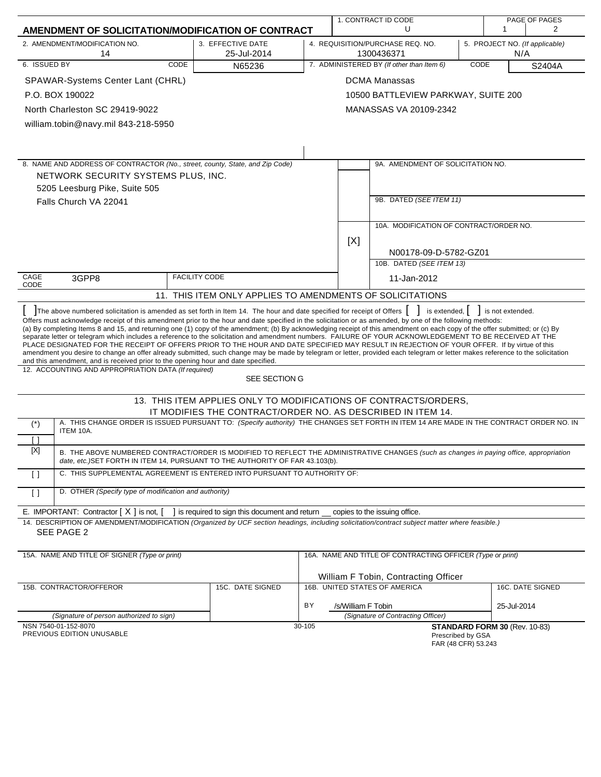| AMENDMENT OF SOLICITATION/MODIFICATION OF CONTRACT                                                                                                                                                                                                                                                                                                                                                                                                                                                                                                                                                                                                                                                                                                                                                                                                                                                                                                                                                                   |                                                                                 | 1. CONTRACT ID CODE<br>U                                                                |                    |                                                            | PAGE OF PAGES<br>$\mathbf 1$<br>2 |                               |                  |
|----------------------------------------------------------------------------------------------------------------------------------------------------------------------------------------------------------------------------------------------------------------------------------------------------------------------------------------------------------------------------------------------------------------------------------------------------------------------------------------------------------------------------------------------------------------------------------------------------------------------------------------------------------------------------------------------------------------------------------------------------------------------------------------------------------------------------------------------------------------------------------------------------------------------------------------------------------------------------------------------------------------------|---------------------------------------------------------------------------------|-----------------------------------------------------------------------------------------|--------------------|------------------------------------------------------------|-----------------------------------|-------------------------------|------------------|
|                                                                                                                                                                                                                                                                                                                                                                                                                                                                                                                                                                                                                                                                                                                                                                                                                                                                                                                                                                                                                      |                                                                                 |                                                                                         |                    |                                                            |                                   |                               |                  |
| 2. AMENDMENT/MODIFICATION NO.<br>14                                                                                                                                                                                                                                                                                                                                                                                                                                                                                                                                                                                                                                                                                                                                                                                                                                                                                                                                                                                  | 3. EFFECTIVE DATE<br>25-Jul-2014                                                | 4. REQUISITION/PURCHASE REQ. NO.<br>5. PROJECT NO. (If applicable)<br>N/A<br>1300436371 |                    |                                                            |                                   |                               |                  |
| 6. ISSUED BY<br>CODE                                                                                                                                                                                                                                                                                                                                                                                                                                                                                                                                                                                                                                                                                                                                                                                                                                                                                                                                                                                                 | N65236                                                                          | 7. ADMINISTERED BY (If other than Item 6)<br>CODE<br>S2404A                             |                    |                                                            |                                   |                               |                  |
| SPAWAR-Systems Center Lant (CHRL)                                                                                                                                                                                                                                                                                                                                                                                                                                                                                                                                                                                                                                                                                                                                                                                                                                                                                                                                                                                    |                                                                                 |                                                                                         |                    | <b>DCMA Manassas</b>                                       |                                   |                               |                  |
| P.O. BOX 190022<br>10500 BATTLEVIEW PARKWAY, SUITE 200                                                                                                                                                                                                                                                                                                                                                                                                                                                                                                                                                                                                                                                                                                                                                                                                                                                                                                                                                               |                                                                                 |                                                                                         |                    |                                                            |                                   |                               |                  |
| North Charleston SC 29419-9022                                                                                                                                                                                                                                                                                                                                                                                                                                                                                                                                                                                                                                                                                                                                                                                                                                                                                                                                                                                       |                                                                                 |                                                                                         |                    | MANASSAS VA 20109-2342                                     |                                   |                               |                  |
| william.tobin@navy.mil 843-218-5950                                                                                                                                                                                                                                                                                                                                                                                                                                                                                                                                                                                                                                                                                                                                                                                                                                                                                                                                                                                  |                                                                                 |                                                                                         |                    |                                                            |                                   |                               |                  |
|                                                                                                                                                                                                                                                                                                                                                                                                                                                                                                                                                                                                                                                                                                                                                                                                                                                                                                                                                                                                                      |                                                                                 |                                                                                         |                    |                                                            |                                   |                               |                  |
|                                                                                                                                                                                                                                                                                                                                                                                                                                                                                                                                                                                                                                                                                                                                                                                                                                                                                                                                                                                                                      |                                                                                 |                                                                                         |                    |                                                            |                                   |                               |                  |
| 8. NAME AND ADDRESS OF CONTRACTOR (No., street, county, State, and Zip Code)                                                                                                                                                                                                                                                                                                                                                                                                                                                                                                                                                                                                                                                                                                                                                                                                                                                                                                                                         |                                                                                 |                                                                                         |                    | 9A. AMENDMENT OF SOLICITATION NO.                          |                                   |                               |                  |
| NETWORK SECURITY SYSTEMS PLUS, INC.                                                                                                                                                                                                                                                                                                                                                                                                                                                                                                                                                                                                                                                                                                                                                                                                                                                                                                                                                                                  |                                                                                 |                                                                                         |                    |                                                            |                                   |                               |                  |
| 5205 Leesburg Pike, Suite 505                                                                                                                                                                                                                                                                                                                                                                                                                                                                                                                                                                                                                                                                                                                                                                                                                                                                                                                                                                                        |                                                                                 |                                                                                         |                    |                                                            |                                   |                               |                  |
| Falls Church VA 22041                                                                                                                                                                                                                                                                                                                                                                                                                                                                                                                                                                                                                                                                                                                                                                                                                                                                                                                                                                                                |                                                                                 |                                                                                         |                    | 9B. DATED (SEE ITEM 11)                                    |                                   |                               |                  |
|                                                                                                                                                                                                                                                                                                                                                                                                                                                                                                                                                                                                                                                                                                                                                                                                                                                                                                                                                                                                                      |                                                                                 |                                                                                         |                    | 10A. MODIFICATION OF CONTRACT/ORDER NO.                    |                                   |                               |                  |
|                                                                                                                                                                                                                                                                                                                                                                                                                                                                                                                                                                                                                                                                                                                                                                                                                                                                                                                                                                                                                      |                                                                                 |                                                                                         | [X]                |                                                            |                                   |                               |                  |
|                                                                                                                                                                                                                                                                                                                                                                                                                                                                                                                                                                                                                                                                                                                                                                                                                                                                                                                                                                                                                      |                                                                                 |                                                                                         |                    | N00178-09-D-5782-GZ01                                      |                                   |                               |                  |
|                                                                                                                                                                                                                                                                                                                                                                                                                                                                                                                                                                                                                                                                                                                                                                                                                                                                                                                                                                                                                      |                                                                                 |                                                                                         |                    | 10B. DATED (SEE ITEM 13)                                   |                                   |                               |                  |
| CAGE<br>3GPP8<br>CODE                                                                                                                                                                                                                                                                                                                                                                                                                                                                                                                                                                                                                                                                                                                                                                                                                                                                                                                                                                                                | <b>FACILITY CODE</b>                                                            |                                                                                         |                    | 11-Jan-2012                                                |                                   |                               |                  |
|                                                                                                                                                                                                                                                                                                                                                                                                                                                                                                                                                                                                                                                                                                                                                                                                                                                                                                                                                                                                                      | 11. THIS ITEM ONLY APPLIES TO AMENDMENTS OF SOLICITATIONS                       |                                                                                         |                    |                                                            |                                   |                               |                  |
| The above numbered solicitation is amended as set forth in Item 14. The hour and date specified for receipt of Offers<br>is extended, $\vert \cdot \vert$ is not extended.<br>Offers must acknowledge receipt of this amendment prior to the hour and date specified in the solicitation or as amended, by one of the following methods:<br>(a) By completing Items 8 and 15, and returning one (1) copy of the amendment; (b) By acknowledging receipt of this amendment on each copy of the offer submitted; or (c) By<br>separate letter or telegram which includes a reference to the solicitation and amendment numbers. FAILURE OF YOUR ACKNOWLEDGEMENT TO BE RECEIVED AT THE<br>PLACE DESIGNATED FOR THE RECEIPT OF OFFERS PRIOR TO THE HOUR AND DATE SPECIFIED MAY RESULT IN REJECTION OF YOUR OFFER. If by virtue of this<br>amendment you desire to change an offer already submitted, such change may be made by telegram or letter, provided each telegram or letter makes reference to the solicitation |                                                                                 |                                                                                         |                    |                                                            |                                   |                               |                  |
| and this amendment, and is received prior to the opening hour and date specified.<br>12. ACCOUNTING AND APPROPRIATION DATA (If required)                                                                                                                                                                                                                                                                                                                                                                                                                                                                                                                                                                                                                                                                                                                                                                                                                                                                             | SEE SECTION G                                                                   |                                                                                         |                    |                                                            |                                   |                               |                  |
|                                                                                                                                                                                                                                                                                                                                                                                                                                                                                                                                                                                                                                                                                                                                                                                                                                                                                                                                                                                                                      | 13. THIS ITEM APPLIES ONLY TO MODIFICATIONS OF CONTRACTS/ORDERS,                |                                                                                         |                    |                                                            |                                   |                               |                  |
|                                                                                                                                                                                                                                                                                                                                                                                                                                                                                                                                                                                                                                                                                                                                                                                                                                                                                                                                                                                                                      | IT MODIFIES THE CONTRACT/ORDER NO. AS DESCRIBED IN ITEM 14.                     |                                                                                         |                    |                                                            |                                   |                               |                  |
| A. THIS CHANGE ORDER IS ISSUED PURSUANT TO: (Specify authority) THE CHANGES SET FORTH IN ITEM 14 ARE MADE IN THE CONTRACT ORDER NO. IN<br>$(*)$<br>ITEM 10A.<br>Ιl                                                                                                                                                                                                                                                                                                                                                                                                                                                                                                                                                                                                                                                                                                                                                                                                                                                   |                                                                                 |                                                                                         |                    |                                                            |                                   |                               |                  |
| [X]<br>B. THE ABOVE NUMBERED CONTRACT/ORDER IS MODIFIED TO REFLECT THE ADMINISTRATIVE CHANGES (such as changes in paying office, appropriation                                                                                                                                                                                                                                                                                                                                                                                                                                                                                                                                                                                                                                                                                                                                                                                                                                                                       |                                                                                 |                                                                                         |                    |                                                            |                                   |                               |                  |
| date, etc.) SET FORTH IN ITEM 14, PURSUANT TO THE AUTHORITY OF FAR 43.103(b).<br>C. THIS SUPPLEMENTAL AGREEMENT IS ENTERED INTO PURSUANT TO AUTHORITY OF:<br>$\Box$                                                                                                                                                                                                                                                                                                                                                                                                                                                                                                                                                                                                                                                                                                                                                                                                                                                  |                                                                                 |                                                                                         |                    |                                                            |                                   |                               |                  |
| D. OTHER (Specify type of modification and authority)<br>$\left[\right]$                                                                                                                                                                                                                                                                                                                                                                                                                                                                                                                                                                                                                                                                                                                                                                                                                                                                                                                                             |                                                                                 |                                                                                         |                    |                                                            |                                   |                               |                  |
| E. IMPORTANT: Contractor $[X]$ is not, $[$                                                                                                                                                                                                                                                                                                                                                                                                                                                                                                                                                                                                                                                                                                                                                                                                                                                                                                                                                                           | ] is required to sign this document and return __ copies to the issuing office. |                                                                                         |                    |                                                            |                                   |                               |                  |
| 14. DESCRIPTION OF AMENDMENT/MODIFICATION (Organized by UCF section headings, including solicitation/contract subject matter where feasible.)                                                                                                                                                                                                                                                                                                                                                                                                                                                                                                                                                                                                                                                                                                                                                                                                                                                                        |                                                                                 |                                                                                         |                    |                                                            |                                   |                               |                  |
| SEE PAGE 2                                                                                                                                                                                                                                                                                                                                                                                                                                                                                                                                                                                                                                                                                                                                                                                                                                                                                                                                                                                                           |                                                                                 |                                                                                         |                    |                                                            |                                   |                               |                  |
| 15A. NAME AND TITLE OF SIGNER (Type or print)                                                                                                                                                                                                                                                                                                                                                                                                                                                                                                                                                                                                                                                                                                                                                                                                                                                                                                                                                                        |                                                                                 |                                                                                         |                    | 16A. NAME AND TITLE OF CONTRACTING OFFICER (Type or print) |                                   |                               |                  |
|                                                                                                                                                                                                                                                                                                                                                                                                                                                                                                                                                                                                                                                                                                                                                                                                                                                                                                                                                                                                                      |                                                                                 |                                                                                         |                    | William F Tobin, Contracting Officer                       |                                   |                               |                  |
| 15B. CONTRACTOR/OFFEROR                                                                                                                                                                                                                                                                                                                                                                                                                                                                                                                                                                                                                                                                                                                                                                                                                                                                                                                                                                                              | 15C. DATE SIGNED                                                                |                                                                                         |                    | 16B. UNITED STATES OF AMERICA                              |                                   |                               | 16C. DATE SIGNED |
|                                                                                                                                                                                                                                                                                                                                                                                                                                                                                                                                                                                                                                                                                                                                                                                                                                                                                                                                                                                                                      |                                                                                 | BY                                                                                      | /s/William F Tobin |                                                            |                                   | 25-Jul-2014                   |                  |
| (Signature of person authorized to sign)                                                                                                                                                                                                                                                                                                                                                                                                                                                                                                                                                                                                                                                                                                                                                                                                                                                                                                                                                                             |                                                                                 |                                                                                         |                    | (Signature of Contracting Officer)                         |                                   |                               |                  |
| NSN 7540-01-152-8070<br>PREVIOUS EDITION UNUSABLE                                                                                                                                                                                                                                                                                                                                                                                                                                                                                                                                                                                                                                                                                                                                                                                                                                                                                                                                                                    |                                                                                 | 30-105                                                                                  |                    | Prescribed by GSA<br>FAR (48 CFR) 53.243                   |                                   | STANDARD FORM 30 (Rev. 10-83) |                  |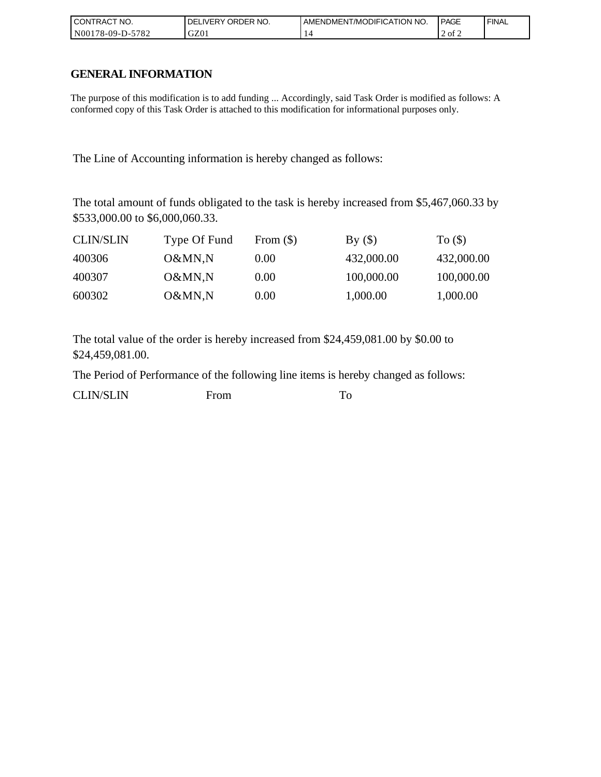| I CONTRACT NO.   | ' ORDER NO.<br>_IVERY<br>DELI | AMENDMENT/MODIFICATION NO. | <b>PAGE</b> | ' FINAL |
|------------------|-------------------------------|----------------------------|-------------|---------|
| N00178-09-D-5782 | GZ01                          |                            | 2 of 2      |         |

## **GENERAL INFORMATION**

The purpose of this modification is to add funding ... Accordingly, said Task Order is modified as follows: A conformed copy of this Task Order is attached to this modification for informational purposes only.

The Line of Accounting information is hereby changed as follows:

The total amount of funds obligated to the task is hereby increased from \$5,467,060.33 by \$533,000.00 to \$6,000,060.33.

| <b>CLIN/SLIN</b> | Type Of Fund | From $(\$)$ | By()       | To $($ )   |
|------------------|--------------|-------------|------------|------------|
| 400306           | O&MN,N       | 0.00        | 432,000.00 | 432,000.00 |
| 400307           | O&MN,N       | 0.00        | 100,000.00 | 100,000.00 |
| 600302           | O&MN,N       | 0.00        | 1,000.00   | 1,000.00   |

The total value of the order is hereby increased from \$24,459,081.00 by \$0.00 to \$24,459,081.00.

The Period of Performance of the following line items is hereby changed as follows: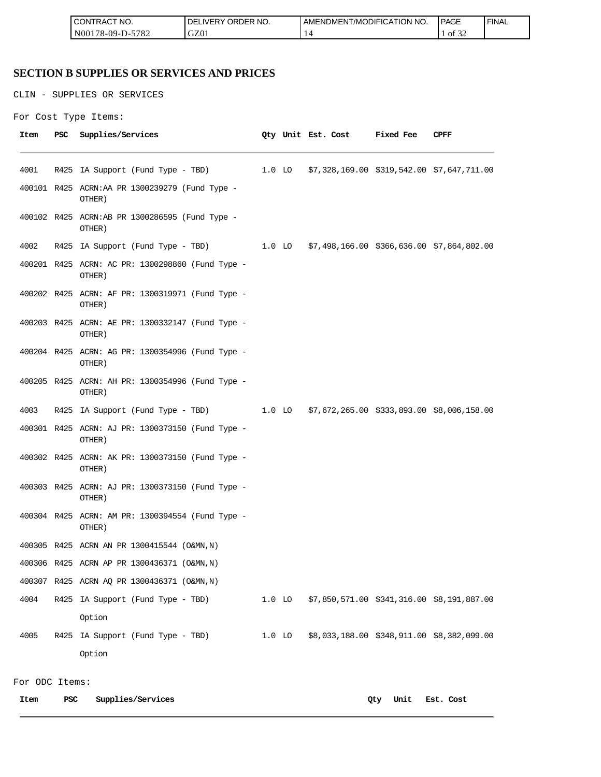| CT NO.<br>I CON'<br>I RAC | ORDER NO.<br><b>IVERY</b><br>י⊣נ، | I AMENDMENT/MODIFICATION NO. | <b>PAGE</b> | <b>FINAL</b> |
|---------------------------|-----------------------------------|------------------------------|-------------|--------------|
| 5782<br>N001<br>/8-09-D-′ | GZ01                              |                              | ΟĪ<br>-24   |              |

### **SECTION B SUPPLIES OR SERVICES AND PRICES**

CLIN - SUPPLIES OR SERVICES

```
For Cost Type Items:
```

| Item | PSC  | Supplies/Services                                          |          | Qty Unit Est. Cost                                | <b>Fixed Fee</b> | CPFF                                       |
|------|------|------------------------------------------------------------|----------|---------------------------------------------------|------------------|--------------------------------------------|
| 4001 | R425 | IA Support (Fund Type - TBD)                               |          | 1.0 LO \$7,328,169.00 \$319,542.00 \$7,647,711.00 |                  |                                            |
|      |      | 400101 R425 ACRN:AA PR 1300239279 (Fund Type -<br>OTHER)   |          |                                                   |                  |                                            |
|      |      | 400102 R425 ACRN:AB PR 1300286595 (Fund Type -<br>OTHER)   |          |                                                   |                  |                                            |
| 4002 |      | R425 IA Support (Fund Type - TBD)                          |          | 1.0 LO \$7,498,166.00 \$366,636.00 \$7,864,802.00 |                  |                                            |
|      |      | 400201 R425 ACRN: AC PR: 1300298860 (Fund Type -<br>OTHER) |          |                                                   |                  |                                            |
|      |      | 400202 R425 ACRN: AF PR: 1300319971 (Fund Type -<br>OTHER) |          |                                                   |                  |                                            |
|      |      | 400203 R425 ACRN: AE PR: 1300332147 (Fund Type -<br>OTHER) |          |                                                   |                  |                                            |
|      |      | 400204 R425 ACRN: AG PR: 1300354996 (Fund Type -<br>OTHER) |          |                                                   |                  |                                            |
|      |      | 400205 R425 ACRN: AH PR: 1300354996 (Fund Type -<br>OTHER) |          |                                                   |                  |                                            |
| 4003 |      | R425 IA Support (Fund Type - TBD)                          |          | 1.0 LO \$7,672,265.00 \$333,893.00 \$8,006,158.00 |                  |                                            |
|      |      | 400301 R425 ACRN: AJ PR: 1300373150 (Fund Type -<br>OTHER) |          |                                                   |                  |                                            |
|      |      | 400302 R425 ACRN: AK PR: 1300373150 (Fund Type -<br>OTHER) |          |                                                   |                  |                                            |
|      |      | 400303 R425 ACRN: AJ PR: 1300373150 (Fund Type -<br>OTHER) |          |                                                   |                  |                                            |
|      |      | 400304 R425 ACRN: AM PR: 1300394554 (Fund Type -<br>OTHER) |          |                                                   |                  |                                            |
|      |      | 400305 R425 ACRN AN PR 1300415544 (O&MN, N)                |          |                                                   |                  |                                            |
|      |      | 400306 R425 ACRN AP PR 1300436371 (O&MN, N)                |          |                                                   |                  |                                            |
|      |      | 400307 R425 ACRN AQ PR 1300436371 (O&MN, N)                |          |                                                   |                  |                                            |
| 4004 |      | R425 IA Support (Fund Type - TBD)                          | $1.0$ LO |                                                   |                  | \$7,850,571.00 \$341,316.00 \$8,191,887.00 |
|      |      | Option                                                     |          |                                                   |                  |                                            |
| 4005 |      | R425 IA Support (Fund Type - TBD)                          | $1.0$ LO |                                                   |                  | \$8,033,188.00 \$348,911.00 \$8,382,099.00 |
|      |      | Option                                                     |          |                                                   |                  |                                            |
|      |      |                                                            |          |                                                   |                  |                                            |

For ODC Items:

 $\overline{a}$ 

**Item PSC Supplies/Services Qty Unit Est. Cost**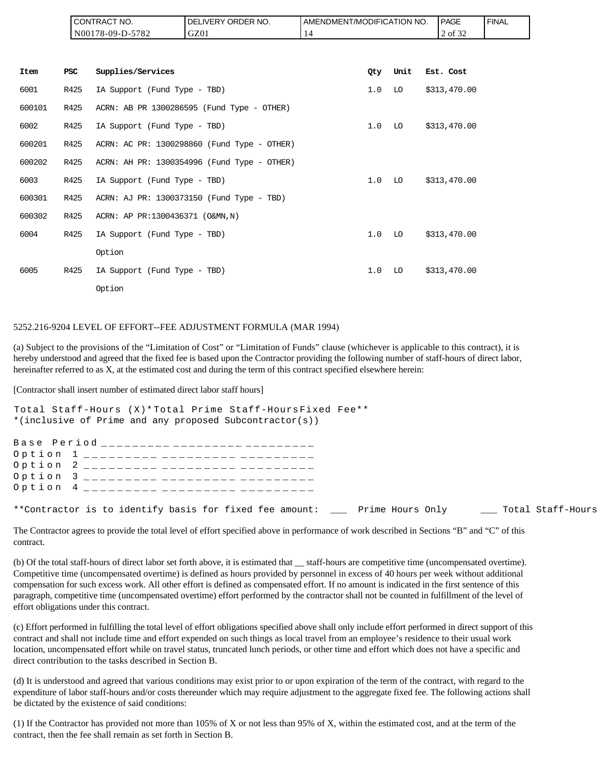|        |            | CONTRACT NO.<br>N00178-09-D-5782 | DELIVERY ORDER NO.<br>GZ01                  | AMENDMENT/MODIFICATION NO.<br>14 |     |      | PAGE<br>2 of 32 | <b>FINAL</b> |
|--------|------------|----------------------------------|---------------------------------------------|----------------------------------|-----|------|-----------------|--------------|
|        |            |                                  |                                             |                                  |     |      |                 |              |
| Item   | <b>PSC</b> | Supplies/Services                |                                             |                                  | Qty | Unit | Est. Cost       |              |
| 6001   | R425       | IA Support (Fund Type - TBD)     |                                             |                                  | 1.0 | LO   | \$313,470.00    |              |
| 600101 | R425       |                                  | ACRN: AB PR 1300286595 (Fund Type - OTHER)  |                                  |     |      |                 |              |
| 6002   | R425       | IA Support (Fund Type - TBD)     |                                             |                                  | 1.0 | LO   | \$313,470.00    |              |
| 600201 | R425       |                                  | ACRN: AC PR: 1300298860 (Fund Type - OTHER) |                                  |     |      |                 |              |
| 600202 | R425       |                                  | ACRN: AH PR: 1300354996 (Fund Type - OTHER) |                                  |     |      |                 |              |
| 6003   | R425       | IA Support (Fund Type - TBD)     |                                             |                                  | 1.0 | LO   | \$313,470.00    |              |
| 600301 | R425       |                                  | ACRN: AJ PR: 1300373150 (Fund Type - TBD)   |                                  |     |      |                 |              |
| 600302 | R425       | ACRN: AP PR:1300436371 (O&MN, N) |                                             |                                  |     |      |                 |              |
| 6004   | R425       | IA Support (Fund Type - TBD)     |                                             |                                  | 1.0 | LO   | \$313,470.00    |              |
|        |            | Option                           |                                             |                                  |     |      |                 |              |
| 6005   | R425       | IA Support (Fund Type - TBD)     |                                             |                                  | 1.0 | LO   | \$313,470.00    |              |
|        |            | Option                           |                                             |                                  |     |      |                 |              |

#### 5252.216-9204 LEVEL OF EFFORT--FEE ADJUSTMENT FORMULA (MAR 1994)

(a) Subject to the provisions of the "Limitation of Cost" or "Limitation of Funds" clause (whichever is applicable to this contract), it is hereby understood and agreed that the fixed fee is based upon the Contractor providing the following number of staff-hours of direct labor, hereinafter referred to as X, at the estimated cost and during the term of this contract specified elsewhere herein:

[Contractor shall insert number of estimated direct labor staff hours]

```
Total Staff-Hours (X)* Total Prime Staff-Hours Fixed Fee**
*(inclusive of Prime and any proposed Subcontractor(s))
Base Period _________ _________ ______
Option 1 _________ _________ _______
Option 2 _________ _________ _______
Option 3 _________ _________ _______
Option 4 _________ _________ _________
**Contractor is to identify basis for fixed fee amount: ___ Prime Hours Only ___ Total Staff-Hours
```
The Contractor agrees to provide the total level of effort specified above in performance of work described in Sections "B" and "C" of this contract.

(b) Of the total staff-hours of direct labor set forth above, it is estimated that \_\_ staff-hours are competitive time (uncompensated overtime). Competitive time (uncompensated overtime) is defined as hours provided by personnel in excess of 40 hours per week without additional compensation for such excess work. All other effort is defined as compensated effort. If no amount is indicated in the first sentence of this paragraph, competitive time (uncompensated overtime) effort performed by the contractor shall not be counted in fulfillment of the level of effort obligations under this contract.

(c) Effort performed in fulfilling the total level of effort obligations specified above shall only include effort performed in direct support of this contract and shall not include time and effort expended on such things as local travel from an employee's residence to their usual work location, uncompensated effort while on travel status, truncated lunch periods, or other time and effort which does not have a specific and direct contribution to the tasks described in Section B.

(d) It is understood and agreed that various conditions may exist prior to or upon expiration of the term of the contract, with regard to the expenditure of labor staff-hours and/or costs thereunder which may require adjustment to the aggregate fixed fee. The following actions shall be dictated by the existence of said conditions:

(1) If the Contractor has provided not more than 105% of X or not less than 95% of X, within the estimated cost, and at the term of the contract, then the fee shall remain as set forth in Section B.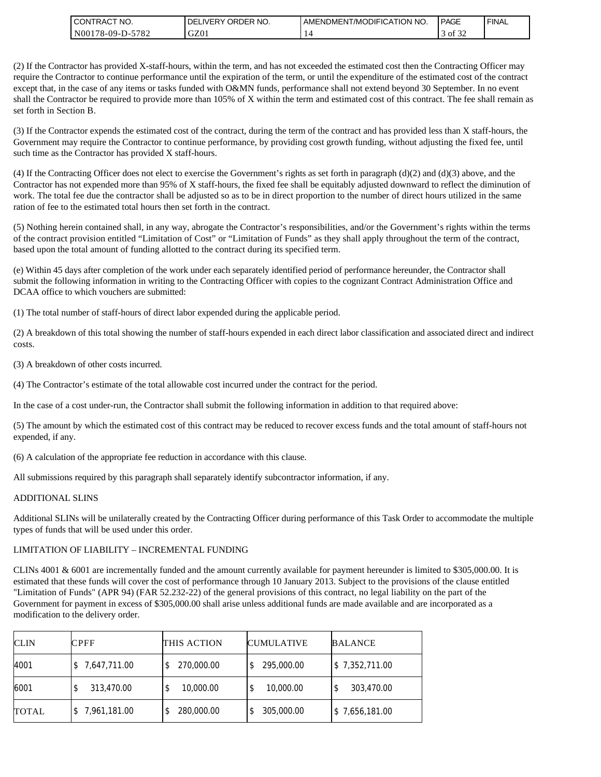| " NO.<br>I CON<br><b>ITRAC</b>          | NO.<br><b>ORDER</b><br><b>DELIVERY</b> | ATION NO.<br>AMENDMENT/MODIFICAT | <b>PAGE</b>                | <b>FINAL</b> |
|-----------------------------------------|----------------------------------------|----------------------------------|----------------------------|--------------|
| 5782<br>N <sub>00</sub><br>$178-09-D$ - | GZ01                                   |                                  | $\sim$ $\sim$<br>ΟĪ<br>-24 |              |

(2) If the Contractor has provided X-staff-hours, within the term, and has not exceeded the estimated cost then the Contracting Officer may require the Contractor to continue performance until the expiration of the term, or until the expenditure of the estimated cost of the contract except that, in the case of any items or tasks funded with O&MN funds, performance shall not extend beyond 30 September. In no event shall the Contractor be required to provide more than 105% of X within the term and estimated cost of this contract. The fee shall remain as set forth in Section B.

(3) If the Contractor expends the estimated cost of the contract, during the term of the contract and has provided less than X staff-hours, the Government may require the Contractor to continue performance, by providing cost growth funding, without adjusting the fixed fee, until such time as the Contractor has provided X staff-hours.

(4) If the Contracting Officer does not elect to exercise the Government's rights as set forth in paragraph  $(d)(2)$  and  $(d)(3)$  above, and the Contractor has not expended more than 95% of X staff-hours, the fixed fee shall be equitably adjusted downward to reflect the diminution of work. The total fee due the contractor shall be adjusted so as to be in direct proportion to the number of direct hours utilized in the same ration of fee to the estimated total hours then set forth in the contract.

(5) Nothing herein contained shall, in any way, abrogate the Contractor's responsibilities, and/or the Government's rights within the terms of the contract provision entitled "Limitation of Cost" or "Limitation of Funds" as they shall apply throughout the term of the contract, based upon the total amount of funding allotted to the contract during its specified term.

(e) Within 45 days after completion of the work under each separately identified period of performance hereunder, the Contractor shall submit the following information in writing to the Contracting Officer with copies to the cognizant Contract Administration Office and DCAA office to which vouchers are submitted:

(1) The total number of staff-hours of direct labor expended during the applicable period.

(2) A breakdown of this total showing the number of staff-hours expended in each direct labor classification and associated direct and indirect costs.

(3) A breakdown of other costs incurred.

(4) The Contractor's estimate of the total allowable cost incurred under the contract for the period.

In the case of a cost under-run, the Contractor shall submit the following information in addition to that required above:

(5) The amount by which the estimated cost of this contract may be reduced to recover excess funds and the total amount of staff-hours not expended, if any.

(6) A calculation of the appropriate fee reduction in accordance with this clause.

All submissions required by this paragraph shall separately identify subcontractor information, if any.

#### ADDITIONAL SLINS

Additional SLINs will be unilaterally created by the Contracting Officer during performance of this Task Order to accommodate the multiple types of funds that will be used under this order.

### LIMITATION OF LIABILITY – INCREMENTAL FUNDING

CLINs 4001 & 6001 are incrementally funded and the amount currently available for payment hereunder is limited to \$305,000.00. It is estimated that these funds will cover the cost of performance through 10 January 2013. Subject to the provisions of the clause entitled "Limitation of Funds" (APR 94) (FAR 52.232-22) of the general provisions of this contract, no legal liability on the part of the Government for payment in excess of \$305,000.00 shall arise unless additional funds are made available and are incorporated as a modification to the delivery order.

| <b>CLIN</b>  | <b>CPFF</b>  | THIS ACTION     | <b>CUMULATIVE</b> | <b>BALANCE</b> |
|--------------|--------------|-----------------|-------------------|----------------|
| 4001         | 7,647,711.00 | 270,000.00      | 295,000.00        | \$7,352,711.00 |
| 6001         | 313,470.00   | 10,000.00<br>\$ | 10,000.00         | 303,470.00     |
| <b>TOTAL</b> | 7,961,181.00 | 280,000.00      | 305,000.00        | \$7,656,181.00 |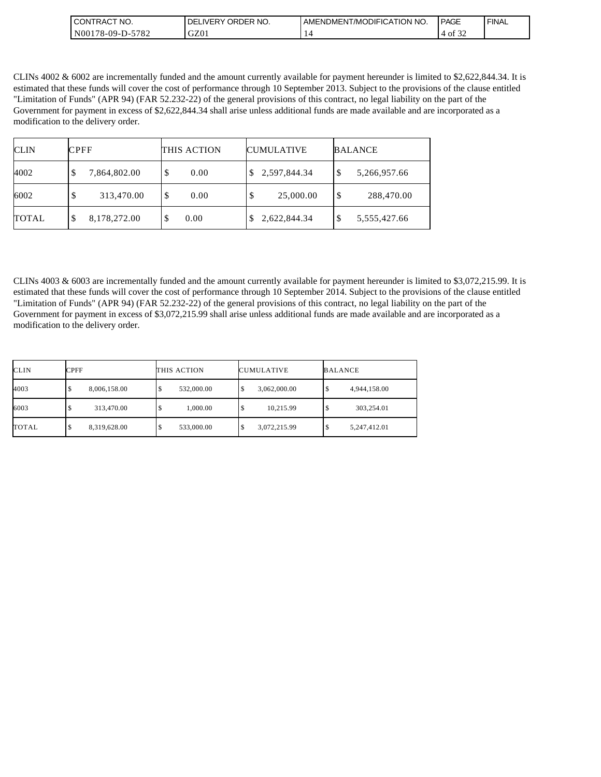| " NO.<br>I CON<br><b>'TRAC.</b>               | NO.<br><b>ORDER</b><br><b>DELIVERY</b> | ATION NO.<br>AMENDMENT/MODIFICAT | <b>PAGE</b>                | <b>FINAL</b> |
|-----------------------------------------------|----------------------------------------|----------------------------------|----------------------------|--------------|
| 5782<br>N <sub>00</sub><br>$178 - 09 - D - 0$ | GZ01                                   |                                  | $\sim$ $\sim$<br>Οİ<br>ے ر |              |

CLINs 4002 & 6002 are incrementally funded and the amount currently available for payment hereunder is limited to \$2,622,844.34. It is estimated that these funds will cover the cost of performance through 10 September 2013. Subject to the provisions of the clause entitled "Limitation of Funds" (APR 94) (FAR 52.232-22) of the general provisions of this contract, no legal liability on the part of the Government for payment in excess of \$2,622,844.34 shall arise unless additional funds are made available and are incorporated as a modification to the delivery order.

| <b>CLIN</b>  | <b>CPFF</b>       | THIS ACTION | <b>CUMULATIVE</b> | <b>BALANCE</b>     |
|--------------|-------------------|-------------|-------------------|--------------------|
| 4002         | 7,864,802.00<br>Φ | 0.00<br>S   | 2,597,844.34      | 5,266,957.66<br>Φ  |
| 6002         | 313,470.00<br>D   | S<br>0.00   | 25,000.00         | 288,470.00<br>\$   |
| <b>TOTAL</b> | 8,178,272.00<br>S | 0.00        | 2,622,844.34      | 5,555,427.66<br>\$ |

CLINs 4003 & 6003 are incrementally funded and the amount currently available for payment hereunder is limited to \$3,072,215.99. It is estimated that these funds will cover the cost of performance through 10 September 2014. Subject to the provisions of the clause entitled "Limitation of Funds" (APR 94) (FAR 52.232-22) of the general provisions of this contract, no legal liability on the part of the Government for payment in excess of \$3,072,215.99 shall arise unless additional funds are made available and are incorporated as a modification to the delivery order.

| CLIN  | CPFF         | THIS ACTION | <b>CUMULATIVE</b>  | <b>BALANCE</b>    |
|-------|--------------|-------------|--------------------|-------------------|
| 4003  | 8,006,158.00 | 532,000.00  | 3,062,000.00<br>Φ  | 4,944,158.00      |
| 6003  | 313,470.00   | 1,000.00    | 10,215.99<br>\$    | 303,254.01<br>◡   |
| TOTAL | 8,319,628.00 | 533,000.00  | 3,072,215.99<br>\$ | 5,247,412.01<br>Ψ |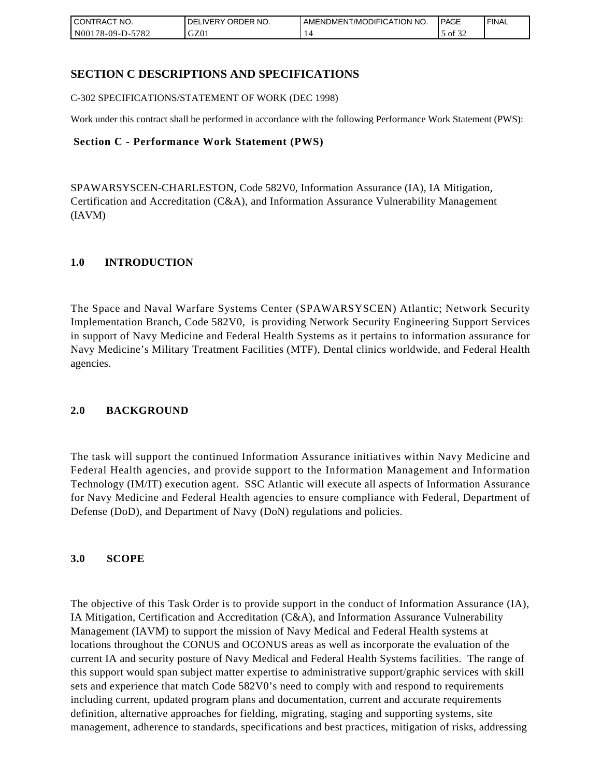| <b>CONTRACT NO.</b>    | NO.<br>' ORDER<br><b>DELIVERY</b> | AMENDMENT/MODIFICATION NO. | PAGE                   | ' FINAL |
|------------------------|-----------------------------------|----------------------------|------------------------|---------|
| N00178-09-D-5<br>-5782 | GZ01                              |                            | $\sim$ $\sim$<br>of 32 |         |

## **SECTION C DESCRIPTIONS AND SPECIFICATIONS**

C-302 SPECIFICATIONS/STATEMENT OF WORK (DEC 1998)

Work under this contract shall be performed in accordance with the following Performance Work Statement (PWS):

### **Section C - Performance Work Statement (PWS)**

SPAWARSYSCEN-CHARLESTON, Code 582V0, Information Assurance (IA), IA Mitigation, Certification and Accreditation (C&A), and Information Assurance Vulnerability Management (IAVM)

### **1.0 INTRODUCTION**

The Space and Naval Warfare Systems Center (SPAWARSYSCEN) Atlantic; Network Security Implementation Branch, Code 582V0, is providing Network Security Engineering Support Services in support of Navy Medicine and Federal Health Systems as it pertains to information assurance for Navy Medicine's Military Treatment Facilities (MTF), Dental clinics worldwide, and Federal Health agencies.

### **2.0 BACKGROUND**

The task will support the continued Information Assurance initiatives within Navy Medicine and Federal Health agencies, and provide support to the Information Management and Information Technology (IM/IT) execution agent. SSC Atlantic will execute all aspects of Information Assurance for Navy Medicine and Federal Health agencies to ensure compliance with Federal, Department of Defense (DoD), and Department of Navy (DoN) regulations and policies.

### **3.0 SCOPE**

The objective of this Task Order is to provide support in the conduct of Information Assurance (IA), IA Mitigation, Certification and Accreditation (C&A), and Information Assurance Vulnerability Management (IAVM) to support the mission of Navy Medical and Federal Health systems at locations throughout the CONUS and OCONUS areas as well as incorporate the evaluation of the current IA and security posture of Navy Medical and Federal Health Systems facilities. The range of this support would span subject matter expertise to administrative support/graphic services with skill sets and experience that match Code 582V0's need to comply with and respond to requirements including current, updated program plans and documentation, current and accurate requirements definition, alternative approaches for fielding, migrating, staging and supporting systems, site management, adherence to standards, specifications and best practices, mitigation of risks, addressing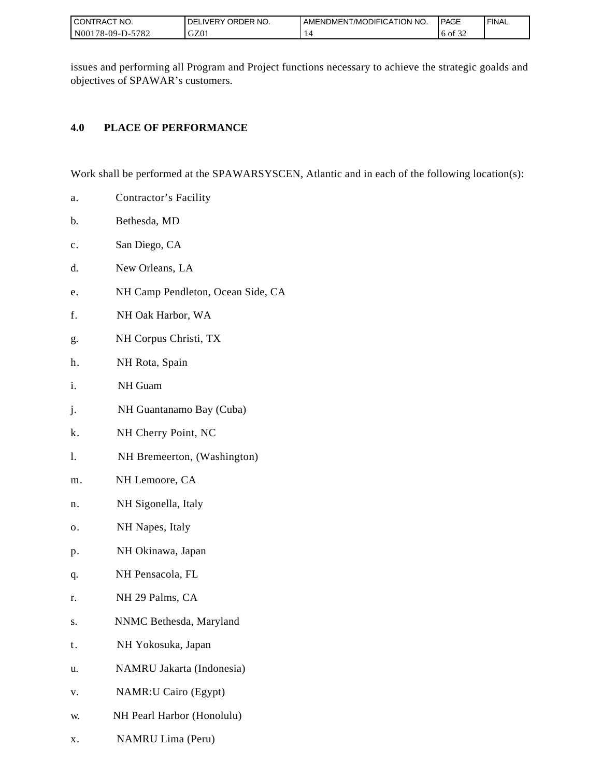| I CONTRACT NO.   | ORDER NO.<br>DELIVERY | I AMENDMENT/MODIFICATION NO. | <b>PAGE</b>        | ' FINAL |
|------------------|-----------------------|------------------------------|--------------------|---------|
| N00178-09-D-5782 | GZ01                  |                              | 0.22<br>ΟĪ<br>یے ر |         |

issues and performing all Program and Project functions necessary to achieve the strategic goalds and objectives of SPAWAR's customers.

## **4.0 PLACE OF PERFORMANCE**

Work shall be performed at the SPAWARSYSCEN, Atlantic and in each of the following location(s):

- a. Contractor's Facility
- b. Bethesda, MD
- c. San Diego, CA
- d. New Orleans, LA
- e. NH Camp Pendleton, Ocean Side, CA
- f. NH Oak Harbor, WA
- g. NH Corpus Christi, TX
- h. NH Rota, Spain
- i. NH Guam
- j. NH Guantanamo Bay (Cuba)
- k. NH Cherry Point, NC
- l. NH Bremeerton, (Washington)
- m. NH Lemoore, CA
- n. NH Sigonella, Italy
- o. NH Napes, Italy
- p. NH Okinawa, Japan
- q. NH Pensacola, FL
- r. NH 29 Palms, CA
- s. NNMC Bethesda, Maryland
- t. NH Yokosuka, Japan
- u. NAMRU Jakarta (Indonesia)
- v. NAMR:U Cairo (Egypt)
- w. NH Pearl Harbor (Honolulu)
- x. NAMRU Lima (Peru)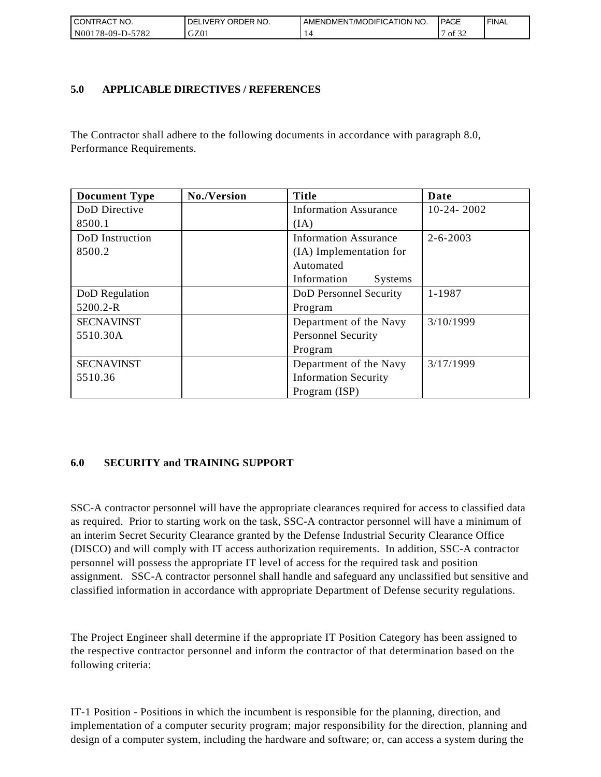| <b>CONTRACT NO.</b>    | NO.<br>' ORDER<br><b>DELIVERY</b> | AMENDMENT/MODIFICATION NO. | PAGE                              | ' FINAL |
|------------------------|-----------------------------------|----------------------------|-----------------------------------|---------|
| N00178-09-D-5<br>-5782 | GZ01                              |                            | $\sim$ $\sim$ $\sim$<br>οt<br>ے ر |         |

## **5.0 APPLICABLE DIRECTIVES / REFERENCES**

The Contractor shall adhere to the following documents in accordance with paragraph 8.0, Performance Requirements.

| <b>Document Type</b> | No./Version | <b>Title</b>                  | Date           |
|----------------------|-------------|-------------------------------|----------------|
| DoD Directive        |             | <b>Information Assurance</b>  | $10-24-2002$   |
| 8500.1               |             | (IA)                          |                |
| DoD Instruction      |             | <b>Information Assurance</b>  | $2 - 6 - 2003$ |
| 8500.2               |             | (IA) Implementation for       |                |
|                      |             | Automated                     |                |
|                      |             | Information<br><b>Systems</b> |                |
| DoD Regulation       |             | DoD Personnel Security        | 1-1987         |
| 5200.2-R             |             | Program                       |                |
| <b>SECNAVINST</b>    |             | Department of the Navy        | 3/10/1999      |
| 5510.30A             |             | <b>Personnel Security</b>     |                |
|                      |             | Program                       |                |
| <b>SECNAVINST</b>    |             | Department of the Navy        | 3/17/1999      |
| 5510.36              |             | <b>Information Security</b>   |                |
|                      |             | Program (ISP)                 |                |

## **6.0 SECURITY and TRAINING SUPPORT**

SSC-A contractor personnel will have the appropriate clearances required for access to classified data as required. Prior to starting work on the task, SSC-A contractor personnel will have a minimum of an interim Secret Security Clearance granted by the Defense Industrial Security Clearance Office (DISCO) and will comply with IT access authorization requirements. In addition, SSC-A contractor personnel will possess the appropriate IT level of access for the required task and position assignment. SSC-A contractor personnel shall handle and safeguard any unclassified but sensitive and classified information in accordance with appropriate Department of Defense security regulations.

The Project Engineer shall determine if the appropriate IT Position Category has been assigned to the respective contractor personnel and inform the contractor of that determination based on the following criteria:

IT-1 Position - Positions in which the incumbent is responsible for the planning, direction, and implementation of a computer security program; major responsibility for the direction, planning and design of a computer system, including the hardware and software; or, can access a system during the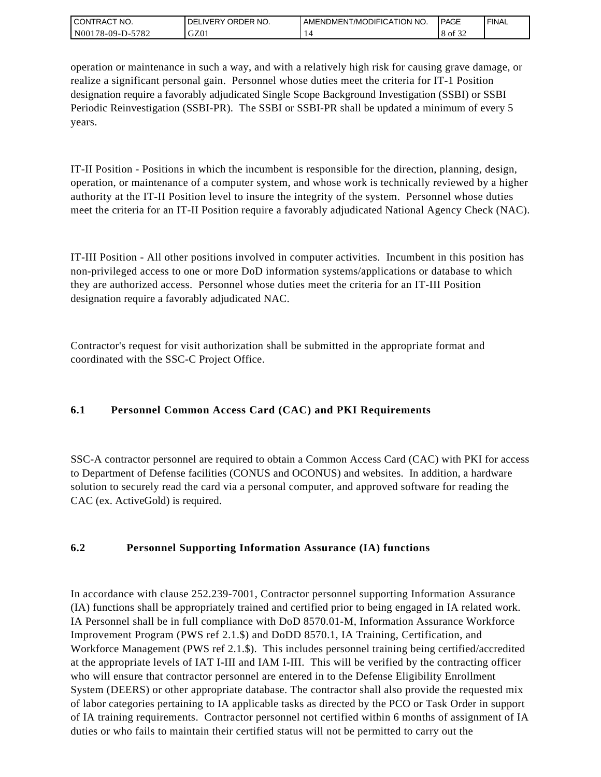| I CONTRACT NO.   | ' ORDER NO.<br><b>DELIVERY</b> | AMENDMENT/MODIFICATION NO. | PAGE            | ' FINAL |
|------------------|--------------------------------|----------------------------|-----------------|---------|
| N00178-09-D-5782 | GZ0 <sub>1</sub>               |                            | 0.22<br>8 of 32 |         |

operation or maintenance in such a way, and with a relatively high risk for causing grave damage, or realize a significant personal gain. Personnel whose duties meet the criteria for IT-1 Position designation require a favorably adjudicated Single Scope Background Investigation (SSBI) or SSBI Periodic Reinvestigation (SSBI-PR). The SSBI or SSBI-PR shall be updated a minimum of every 5 years.

IT-II Position - Positions in which the incumbent is responsible for the direction, planning, design, operation, or maintenance of a computer system, and whose work is technically reviewed by a higher authority at the IT-II Position level to insure the integrity of the system. Personnel whose duties meet the criteria for an IT-II Position require a favorably adjudicated National Agency Check (NAC).

IT-III Position - All other positions involved in computer activities. Incumbent in this position has non-privileged access to one or more DoD information systems/applications or database to which they are authorized access. Personnel whose duties meet the criteria for an IT-III Position designation require a favorably adjudicated NAC.

Contractor's request for visit authorization shall be submitted in the appropriate format and coordinated with the SSC-C Project Office.

# **6.1 Personnel Common Access Card (CAC) and PKI Requirements**

SSC-A contractor personnel are required to obtain a Common Access Card (CAC) with PKI for access to Department of Defense facilities (CONUS and OCONUS) and websites. In addition, a hardware solution to securely read the card via a personal computer, and approved software for reading the CAC (ex. ActiveGold) is required.

## **6.2 Personnel Supporting Information Assurance (IA) functions**

In accordance with clause 252.239-7001, Contractor personnel supporting Information Assurance (IA) functions shall be appropriately trained and certified prior to being engaged in IA related work. IA Personnel shall be in full compliance with DoD 8570.01-M, Information Assurance Workforce Improvement Program (PWS ref 2.1.\$) and DoDD 8570.1, IA Training, Certification, and Workforce Management (PWS ref 2.1.\$). This includes personnel training being certified/accredited at the appropriate levels of IAT I-III and IAM I-III. This will be verified by the contracting officer who will ensure that contractor personnel are entered in to the Defense Eligibility Enrollment System (DEERS) or other appropriate database. The contractor shall also provide the requested mix of labor categories pertaining to IA applicable tasks as directed by the PCO or Task Order in support of IA training requirements. Contractor personnel not certified within 6 months of assignment of IA duties or who fails to maintain their certified status will not be permitted to carry out the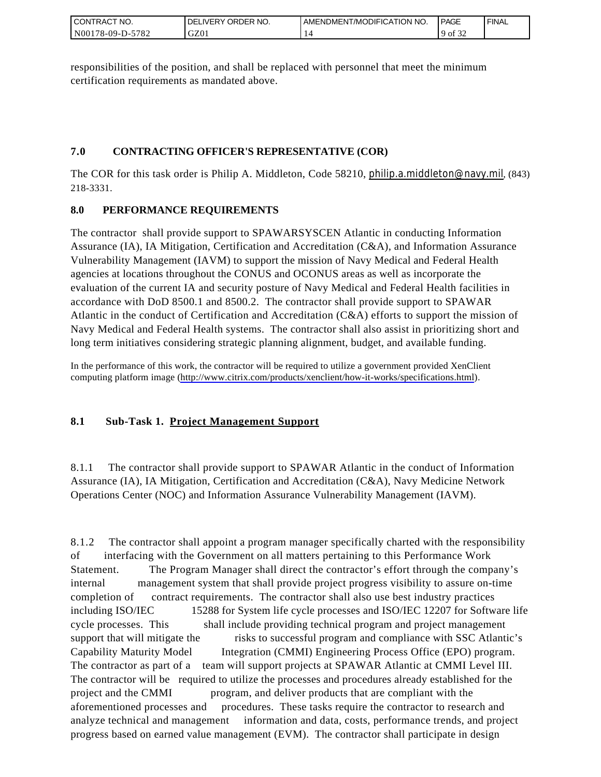| I CONTRACT NO.         | ORDER<br>NO.<br><b>DELIVERY</b> | AMENDMENT/MODIFICATION NO. | <b>PAGE</b>         | ' FINAL |
|------------------------|---------------------------------|----------------------------|---------------------|---------|
| N00178-09-D-5<br>-5782 | GZ01                            |                            | 0.25<br>$9$ of $34$ |         |

responsibilities of the position, and shall be replaced with personnel that meet the minimum certification requirements as mandated above.

## **7.0 CONTRACTING OFFICER'S REPRESENTATIVE (COR)**

The COR for this task order is Philip A. Middleton, Code 58210, [philip.a.middleton@navy.mil](mailto:cphilip.a.middleton@navy.mil), (843) 218-3331.

## **8.0 PERFORMANCE REQUIREMENTS**

The contractor shall provide support to SPAWARSYSCEN Atlantic in conducting Information Assurance (IA), IA Mitigation, Certification and Accreditation (C&A), and Information Assurance Vulnerability Management (IAVM) to support the mission of Navy Medical and Federal Health agencies at locations throughout the CONUS and OCONUS areas as well as incorporate the evaluation of the current IA and security posture of Navy Medical and Federal Health facilities in accordance with DoD 8500.1 and 8500.2. The contractor shall provide support to SPAWAR Atlantic in the conduct of Certification and Accreditation (C&A) efforts to support the mission of Navy Medical and Federal Health systems. The contractor shall also assist in prioritizing short and long term initiatives considering strategic planning alignment, budget, and available funding.

In the performance of this work, the contractor will be required to utilize a government provided XenClient computing platform image [\(http://www.citrix.com/products/xenclient/how-it-works/specifications.html\)](http://www.citrix.com/products/xenclient/how-it-works/specifications.html).

## **8.1 Sub-Task 1. Project Management Support**

8.1.1 The contractor shall provide support to SPAWAR Atlantic in the conduct of Information Assurance (IA), IA Mitigation, Certification and Accreditation (C&A), Navy Medicine Network Operations Center (NOC) and Information Assurance Vulnerability Management (IAVM).

8.1.2 The contractor shall appoint a program manager specifically charted with the responsibility of interfacing with the Government on all matters pertaining to this Performance Work Statement. The Program Manager shall direct the contractor's effort through the company's internal management system that shall provide project progress visibility to assure on-time completion of contract requirements. The contractor shall also use best industry practices including ISO/IEC 15288 for System life cycle processes and ISO/IEC 12207 for Software life cycle processes. This shall include providing technical program and project management support that will mitigate the risks to successful program and compliance with SSC Atlantic's Capability Maturity Model Integration (CMMI) Engineering Process Office (EPO) program. The contractor as part of a team will support projects at SPAWAR Atlantic at CMMI Level III. The contractor will be required to utilize the processes and procedures already established for the project and the CMMI program, and deliver products that are compliant with the aforementioned processes and procedures. These tasks require the contractor to research and analyze technical and management information and data, costs, performance trends, and project progress based on earned value management (EVM). The contractor shall participate in design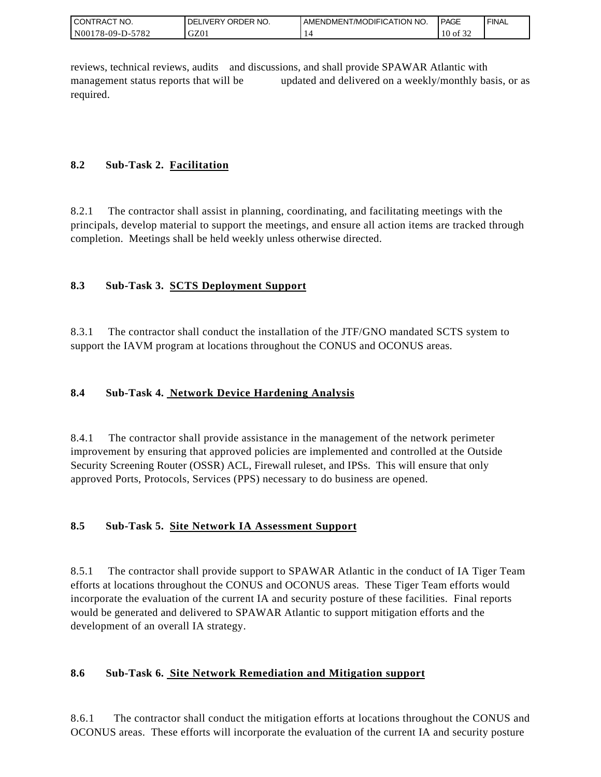| I CONTRACT NO.   | ' ORDER NO.<br><b>DELIVERY</b> | I AMENDMENT/MODIFICATION NO. | <b>PAGE</b>         | ' FINAL |
|------------------|--------------------------------|------------------------------|---------------------|---------|
| N00178-09-D-5782 | GZ0                            |                              | 0.22<br>10<br>of 32 |         |

reviews, technical reviews, audits and discussions, and shall provide SPAWAR Atlantic with management status reports that will be updated and delivered on a weekly/monthly basis, or as required.

## **8.2 Sub-Task 2. Facilitation**

8.2.1 The contractor shall assist in planning, coordinating, and facilitating meetings with the principals, develop material to support the meetings, and ensure all action items are tracked through completion. Meetings shall be held weekly unless otherwise directed.

## **8.3 Sub-Task 3. SCTS Deployment Support**

8.3.1 The contractor shall conduct the installation of the JTF/GNO mandated SCTS system to support the IAVM program at locations throughout the CONUS and OCONUS areas.

## **8.4 Sub-Task 4. Network Device Hardening Analysis**

8.4.1 The contractor shall provide assistance in the management of the network perimeter improvement by ensuring that approved policies are implemented and controlled at the Outside Security Screening Router (OSSR) ACL, Firewall ruleset, and IPSs. This will ensure that only approved Ports, Protocols, Services (PPS) necessary to do business are opened.

## **8.5 Sub-Task 5. Site Network IA Assessment Support**

8.5.1 The contractor shall provide support to SPAWAR Atlantic in the conduct of IA Tiger Team efforts at locations throughout the CONUS and OCONUS areas. These Tiger Team efforts would incorporate the evaluation of the current IA and security posture of these facilities. Final reports would be generated and delivered to SPAWAR Atlantic to support mitigation efforts and the development of an overall IA strategy.

## **8.6 Sub-Task 6. Site Network Remediation and Mitigation support**

8.6.1 The contractor shall conduct the mitigation efforts at locations throughout the CONUS and OCONUS areas. These efforts will incorporate the evaluation of the current IA and security posture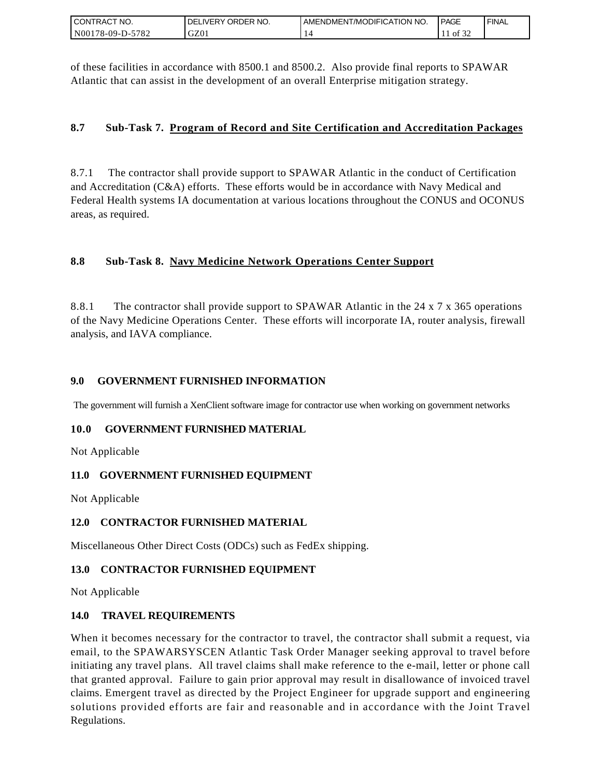| I CONTRACT NO.         | NO.<br>ORDER <sup>'</sup><br><b>DELIVERY</b> | AMENDMENT/MODIFICATION NO. | PAGE  | ' FINAL |
|------------------------|----------------------------------------------|----------------------------|-------|---------|
| N001<br>)178-09-D-5782 | GZ01                                         |                            | of 32 |         |

of these facilities in accordance with 8500.1 and 8500.2. Also provide final reports to SPAWAR Atlantic that can assist in the development of an overall Enterprise mitigation strategy.

## **8.7 Sub-Task 7. Program of Record and Site Certification and Accreditation Packages**

8.7.1 The contractor shall provide support to SPAWAR Atlantic in the conduct of Certification and Accreditation (C&A) efforts. These efforts would be in accordance with Navy Medical and Federal Health systems IA documentation at various locations throughout the CONUS and OCONUS areas, as required.

## **8.8 Sub-Task 8. Navy Medicine Network Operations Center Support**

8.8.1 The contractor shall provide support to SPAWAR Atlantic in the 24 x 7 x 365 operations of the Navy Medicine Operations Center. These efforts will incorporate IA, router analysis, firewall analysis, and IAVA compliance.

### **9.0 GOVERNMENT FURNISHED INFORMATION**

The government will furnish a XenClient software image for contractor use when working on government networks

### **10.0 GOVERNMENT FURNISHED MATERIAL**

Not Applicable

### **11.0 GOVERNMENT FURNISHED EQUIPMENT**

Not Applicable

### **12.0 CONTRACTOR FURNISHED MATERIAL**

Miscellaneous Other Direct Costs (ODCs) such as FedEx shipping.

### **13.0 CONTRACTOR FURNISHED EQUIPMENT**

Not Applicable

### **14.0 TRAVEL REQUIREMENTS**

CONTRACT NO.<br>
NO0178-09-D-5<br>
SONTRACT NO.<br>
NO0178-09-D-5<br>
Of these facilit<br>
Atlantic that of<br>
8.7. Sub-T<br>
8.7. Sub-T<br>
8.8. Sub-T<br>
8.8. Sub-T<br>
8.8. Sub-T<br>
8.8. Sub-T<br>
8.8. Sub-T<br>
9.0 GOVEF<br>
The governmen<br>
10.0 GOVEF<br>
Not Ap When it becomes necessary for the contractor to travel, the contractor shall submit a request, via email, to the SPAWARSYSCEN Atlantic Task Order Manager seeking approval to travel before initiating any travel plans. All travel claims shall make reference to the e-mail, letter or phone call that granted approval. Failure to gain prior approval may result in disallowance of invoiced travel claims. Emergent travel as directed by the Project Engineer for upgrade support and engineering solutions provided efforts are fair and reasonable and in accordance with the Joint Travel Regulations.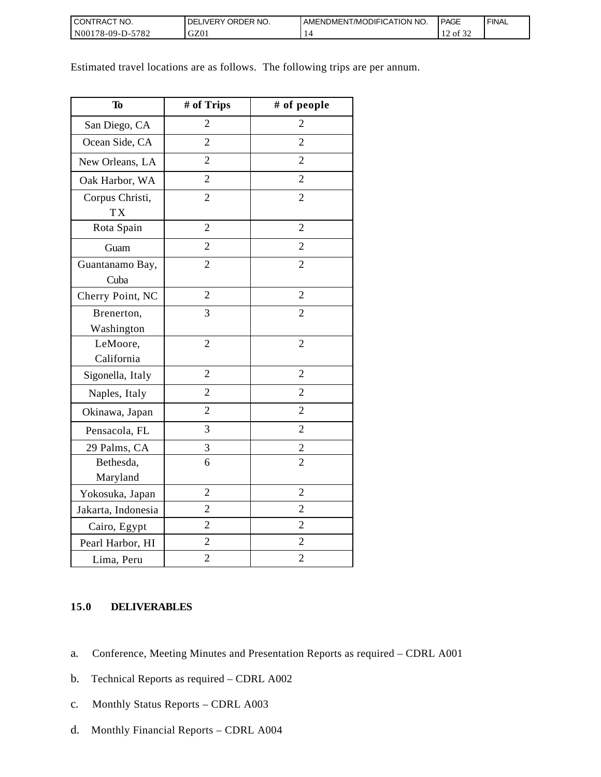| I CONTRACT NO.           | NO.<br><b>DELIVERY ORDER</b> | AMENDMENT/MODIFICATION NO. | <b>PAGE</b>                        | ' FINAL |
|--------------------------|------------------------------|----------------------------|------------------------------------|---------|
| $N00178-09-D-5$<br>-5782 | GZ01                         |                            | $\sim$ $\sim$ $\sim$<br>of 32<br>∸ |         |

Estimated travel locations are as follows. The following trips are per annum.

| To                           | # of Trips     | # of people    |
|------------------------------|----------------|----------------|
| San Diego, CA                | $\overline{2}$ | 2              |
| Ocean Side, CA               | $\overline{2}$ | $\overline{2}$ |
| New Orleans, LA              | $\overline{2}$ | $\overline{2}$ |
| Oak Harbor, WA               | $\overline{2}$ | $\overline{2}$ |
| Corpus Christi,<br><b>TX</b> | $\overline{2}$ | $\overline{2}$ |
| Rota Spain                   | $\overline{2}$ | $\overline{2}$ |
| Guam                         | $\overline{2}$ | $\overline{2}$ |
| Guantanamo Bay,<br>Cuba      | $\overline{2}$ | $\overline{2}$ |
| Cherry Point, NC             | $\overline{2}$ | $\overline{2}$ |
| Brenerton,<br>Washington     | 3              | $\overline{2}$ |
| LeMoore,<br>California       | $\overline{2}$ | $\overline{2}$ |
| Sigonella, Italy             | $\overline{2}$ | $\overline{2}$ |
| Naples, Italy                | $\overline{2}$ | $\overline{2}$ |
| Okinawa, Japan               | $\overline{2}$ | $\overline{2}$ |
| Pensacola, FL                | 3              | $\overline{2}$ |
| 29 Palms, CA                 | 3              | $\overline{c}$ |
| Bethesda,<br>Maryland        | 6              | $\overline{2}$ |
| Yokosuka, Japan              | $\overline{2}$ | $\overline{2}$ |
| Jakarta, Indonesia           | $\overline{2}$ | $\overline{2}$ |
| Cairo, Egypt                 | $\overline{2}$ | $\overline{2}$ |
| Pearl Harbor, HI             | $\overline{2}$ | $\overline{2}$ |
| Lima, Peru                   | $\overline{2}$ | $\overline{2}$ |

## **15.0 DELIVERABLES**

- a. Conference, Meeting Minutes and Presentation Reports as required CDRL A001
- b. Technical Reports as required CDRL A002
- c. Monthly Status Reports CDRL A003
- d. Monthly Financial Reports CDRL A004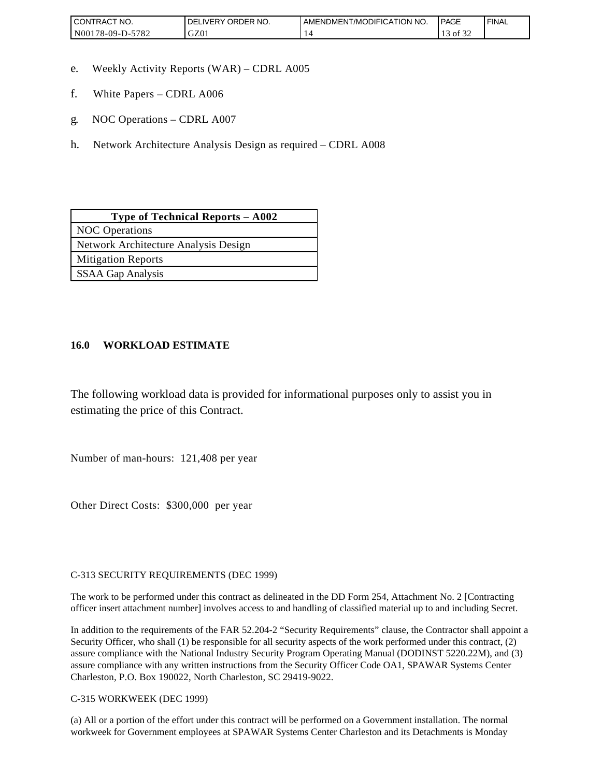| <b>CONTRACT NO.</b>                          | ORDER<br>NO.<br><b>DELIVERY</b> | AMENDMENT/MODIFICATION NO. | <b>PAGE</b> | ' FINAL |
|----------------------------------------------|---------------------------------|----------------------------|-------------|---------|
| N <sub>00</sub><br>5782<br>$3178 - 09 - D -$ | GZ01                            |                            | ΟĪ          |         |

- e. Weekly Activity Reports (WAR) CDRL A005
- f. White Papers CDRL A006
- g. NOC Operations CDRL A007
- h. Network Architecture Analysis Design as required CDRL A008

| Type of Technical Reports - A002     |
|--------------------------------------|
| <b>NOC</b> Operations                |
| Network Architecture Analysis Design |
| <b>Mitigation Reports</b>            |
| <b>SSAA Gap Analysis</b>             |

### **16.0 WORKLOAD ESTIMATE**

The following workload data is provided for informational purposes only to assist you in estimating the price of this Contract.

Number of man-hours: 121,408 per year

Other Direct Costs: \$300,000 per year

C-313 SECURITY REQUIREMENTS (DEC 1999)

The work to be performed under this contract as delineated in the DD Form 254, Attachment No. 2 [Contracting officer insert attachment number] involves access to and handling of classified material up to and including Secret.

In addition to the requirements of the FAR 52.204-2 "Security Requirements" clause, the Contractor shall appoint a Security Officer, who shall (1) be responsible for all security aspects of the work performed under this contract, (2) assure compliance with the National Industry Security Program Operating Manual (DODINST 5220.22M), and (3) assure compliance with any written instructions from the Security Officer Code OA1, SPAWAR Systems Center Charleston, P.O. Box 190022, North Charleston, SC 29419-9022.

C-315 WORKWEEK (DEC 1999)

(a) All or a portion of the effort under this contract will be performed on a Government installation. The normal workweek for Government employees at SPAWAR Systems Center Charleston and its Detachments is Monday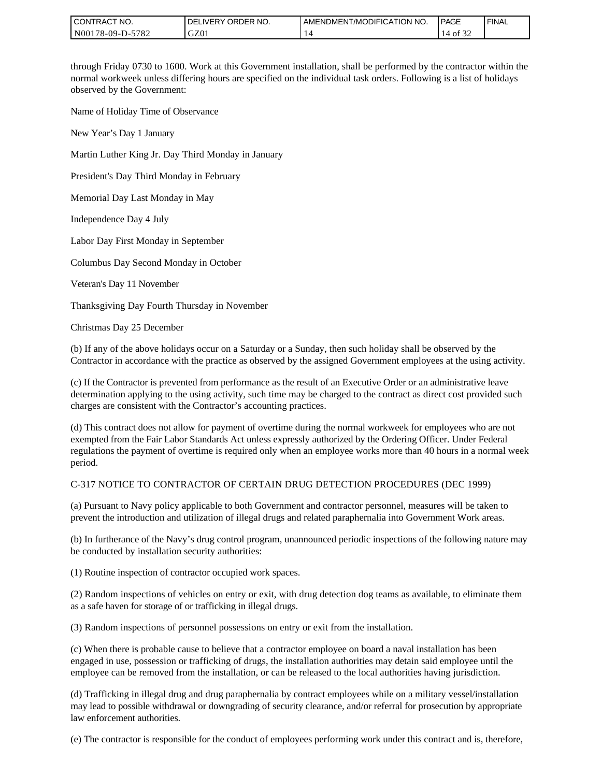| I CONTRACT NO.   | I DELIVERY ORDER NO. | I AMENDMENT/MODIFICATION NO. | <b>PAGE</b>                      | ' FINAL |
|------------------|----------------------|------------------------------|----------------------------------|---------|
| N00178-09-D-5782 | GZ01                 |                              | $\sim$ $\sim$ $\sim$<br>14 of 32 |         |

through Friday 0730 to 1600. Work at this Government installation, shall be performed by the contractor within the normal workweek unless differing hours are specified on the individual task orders. Following is a list of holidays observed by the Government:

Name of Holiday Time of Observance

New Year's Day 1 January

Martin Luther King Jr. Day Third Monday in January

President's Day Third Monday in February

Memorial Day Last Monday in May

Independence Day 4 July

Labor Day First Monday in September

Columbus Day Second Monday in October

Veteran's Day 11 November

Thanksgiving Day Fourth Thursday in November

Christmas Day 25 December

(b) If any of the above holidays occur on a Saturday or a Sunday, then such holiday shall be observed by the Contractor in accordance with the practice as observed by the assigned Government employees at the using activity.

(c) If the Contractor is prevented from performance as the result of an Executive Order or an administrative leave determination applying to the using activity, such time may be charged to the contract as direct cost provided such charges are consistent with the Contractor's accounting practices.

(d) This contract does not allow for payment of overtime during the normal workweek for employees who are not exempted from the Fair Labor Standards Act unless expressly authorized by the Ordering Officer. Under Federal regulations the payment of overtime is required only when an employee works more than 40 hours in a normal week period.

#### C-317 NOTICE TO CONTRACTOR OF CERTAIN DRUG DETECTION PROCEDURES (DEC 1999)

(a) Pursuant to Navy policy applicable to both Government and contractor personnel, measures will be taken to prevent the introduction and utilization of illegal drugs and related paraphernalia into Government Work areas.

(b) In furtherance of the Navy's drug control program, unannounced periodic inspections of the following nature may be conducted by installation security authorities:

(1) Routine inspection of contractor occupied work spaces.

(2) Random inspections of vehicles on entry or exit, with drug detection dog teams as available, to eliminate them as a safe haven for storage of or trafficking in illegal drugs.

(3) Random inspections of personnel possessions on entry or exit from the installation.

(c) When there is probable cause to believe that a contractor employee on board a naval installation has been engaged in use, possession or trafficking of drugs, the installation authorities may detain said employee until the employee can be removed from the installation, or can be released to the local authorities having jurisdiction.

(d) Trafficking in illegal drug and drug paraphernalia by contract employees while on a military vessel/installation may lead to possible withdrawal or downgrading of security clearance, and/or referral for prosecution by appropriate law enforcement authorities.

(e) The contractor is responsible for the conduct of employees performing work under this contract and is, therefore,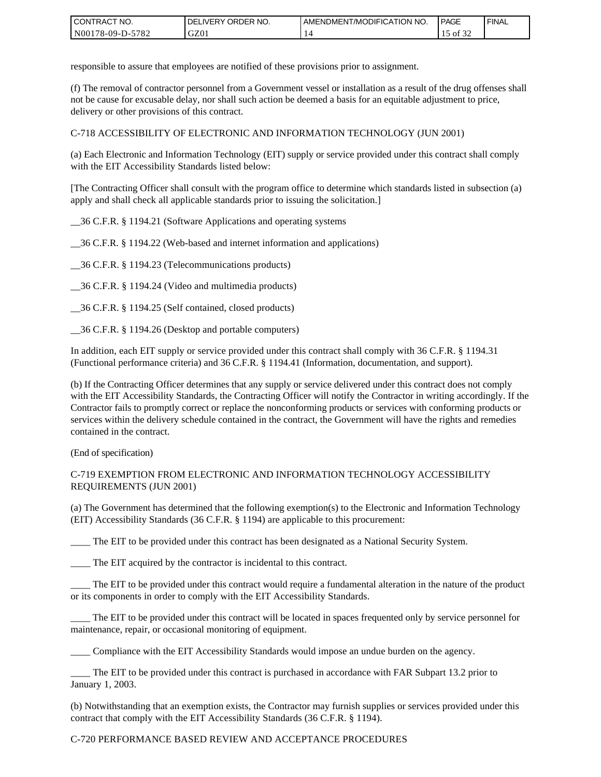| I CONTRACT NO.         | ORDER<br>NO.<br><b>DELIVERY</b> | AMENDMENT/MODIFICATION NO. | <b>PAGE</b>                | ' FINAL |
|------------------------|---------------------------------|----------------------------|----------------------------|---------|
| N00178-09-D-5<br>-5782 | GZ01                            |                            | $\sim$ $\sim$ $\sim$<br>ΟĪ |         |

responsible to assure that employees are notified of these provisions prior to assignment.

(f) The removal of contractor personnel from a Government vessel or installation as a result of the drug offenses shall not be cause for excusable delay, nor shall such action be deemed a basis for an equitable adjustment to price, delivery or other provisions of this contract.

C-718 ACCESSIBILITY OF ELECTRONIC AND INFORMATION TECHNOLOGY (JUN 2001)

(a) Each Electronic and Information Technology (EIT) supply or service provided under this contract shall comply with the EIT Accessibility Standards listed below:

[The Contracting Officer shall consult with the program office to determine which standards listed in subsection (a) apply and shall check all applicable standards prior to issuing the solicitation.]

\_\_36 C.F.R. § 1194.21 (Software Applications and operating systems

\_\_36 C.F.R. § 1194.22 (Web-based and internet information and applications)

\_\_36 C.F.R. § 1194.23 (Telecommunications products)

\_\_36 C.F.R. § 1194.24 (Video and multimedia products)

\_\_36 C.F.R. § 1194.25 (Self contained, closed products)

\_\_36 C.F.R. § 1194.26 (Desktop and portable computers)

In addition, each EIT supply or service provided under this contract shall comply with 36 C.F.R. § 1194.31 (Functional performance criteria) and 36 C.F.R. § 1194.41 (Information, documentation, and support).

(b) If the Contracting Officer determines that any supply or service delivered under this contract does not comply with the EIT Accessibility Standards, the Contracting Officer will notify the Contractor in writing accordingly. If the Contractor fails to promptly correct or replace the nonconforming products or services with conforming products or services within the delivery schedule contained in the contract, the Government will have the rights and remedies contained in the contract.

(End of specification)

#### C-719 EXEMPTION FROM ELECTRONIC AND INFORMATION TECHNOLOGY ACCESSIBILITY REQUIREMENTS (JUN 2001)

(a) The Government has determined that the following exemption(s) to the Electronic and Information Technology (EIT) Accessibility Standards (36 C.F.R. § 1194) are applicable to this procurement:

The EIT to be provided under this contract has been designated as a National Security System.

\_\_\_\_ The EIT acquired by the contractor is incidental to this contract.

\_\_\_\_ The EIT to be provided under this contract would require a fundamental alteration in the nature of the product or its components in order to comply with the EIT Accessibility Standards.

The EIT to be provided under this contract will be located in spaces frequented only by service personnel for maintenance, repair, or occasional monitoring of equipment.

\_\_\_\_ Compliance with the EIT Accessibility Standards would impose an undue burden on the agency.

\_\_\_\_ The EIT to be provided under this contract is purchased in accordance with FAR Subpart 13.2 prior to January 1, 2003.

(b) Notwithstanding that an exemption exists, the Contractor may furnish supplies or services provided under this contract that comply with the EIT Accessibility Standards (36 C.F.R. § 1194).

#### C-720 PERFORMANCE BASED REVIEW AND ACCEPTANCE PROCEDURES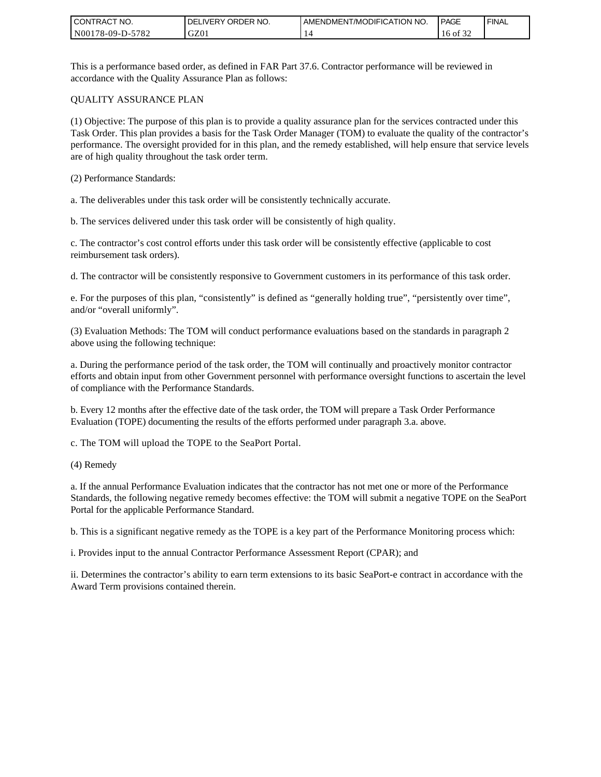| I CONTRACT NO.         | ORDER NO.<br><b>DELIVERY</b> | AMENDMENT/MODIFICATION NO. | <b>PAGE</b>                     | ' FINAL |
|------------------------|------------------------------|----------------------------|---------------------------------|---------|
| N00178-09-D-5<br>-5782 | GZ01                         |                            | $\sim$ $\sim$ $\sim$<br>16 of 1 |         |

This is a performance based order, as defined in FAR Part 37.6. Contractor performance will be reviewed in accordance with the Quality Assurance Plan as follows:

#### QUALITY ASSURANCE PLAN

(1) Objective: The purpose of this plan is to provide a quality assurance plan for the services contracted under this Task Order. This plan provides a basis for the Task Order Manager (TOM) to evaluate the quality of the contractor's performance. The oversight provided for in this plan, and the remedy established, will help ensure that service levels are of high quality throughout the task order term.

(2) Performance Standards:

a. The deliverables under this task order will be consistently technically accurate.

b. The services delivered under this task order will be consistently of high quality.

c. The contractor's cost control efforts under this task order will be consistently effective (applicable to cost reimbursement task orders).

d. The contractor will be consistently responsive to Government customers in its performance of this task order.

e. For the purposes of this plan, "consistently" is defined as "generally holding true", "persistently over time", and/or "overall uniformly".

(3) Evaluation Methods: The TOM will conduct performance evaluations based on the standards in paragraph 2 above using the following technique:

a. During the performance period of the task order, the TOM will continually and proactively monitor contractor efforts and obtain input from other Government personnel with performance oversight functions to ascertain the level of compliance with the Performance Standards.

b. Every 12 months after the effective date of the task order, the TOM will prepare a Task Order Performance Evaluation (TOPE) documenting the results of the efforts performed under paragraph 3.a. above.

c. The TOM will upload the TOPE to the SeaPort Portal.

(4) Remedy

a. If the annual Performance Evaluation indicates that the contractor has not met one or more of the Performance Standards, the following negative remedy becomes effective: the TOM will submit a negative TOPE on the SeaPort Portal for the applicable Performance Standard.

b. This is a significant negative remedy as the TOPE is a key part of the Performance Monitoring process which:

i. Provides input to the annual Contractor Performance Assessment Report (CPAR); and

ii. Determines the contractor's ability to earn term extensions to its basic SeaPort-e contract in accordance with the Award Term provisions contained therein.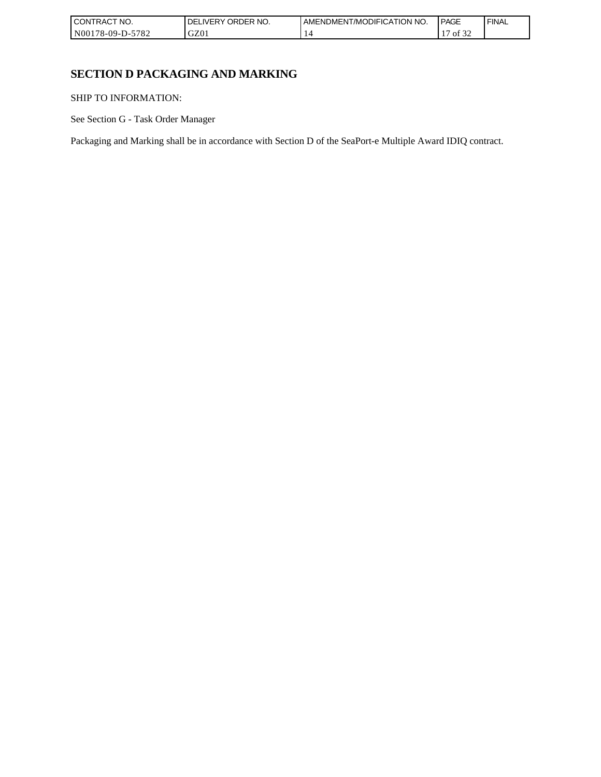| I CONT'<br>'TRACT NO.       | ORDER NO.<br>, IVFRY | I AMENDMENT/MODIFICATION NO. | <b>PAGE</b>                | <b>FINAL</b> |
|-----------------------------|----------------------|------------------------------|----------------------------|--------------|
| N00178-09-D-<br>5700<br>ے ہ | GZ01                 |                              | $\sim$<br>. .<br>Οİ<br>-24 |              |

# **SECTION D PACKAGING AND MARKING**

SHIP TO INFORMATION:

See Section G - Task Order Manager

Packaging and Marking shall be in accordance with Section D of the SeaPort-e Multiple Award IDIQ contract.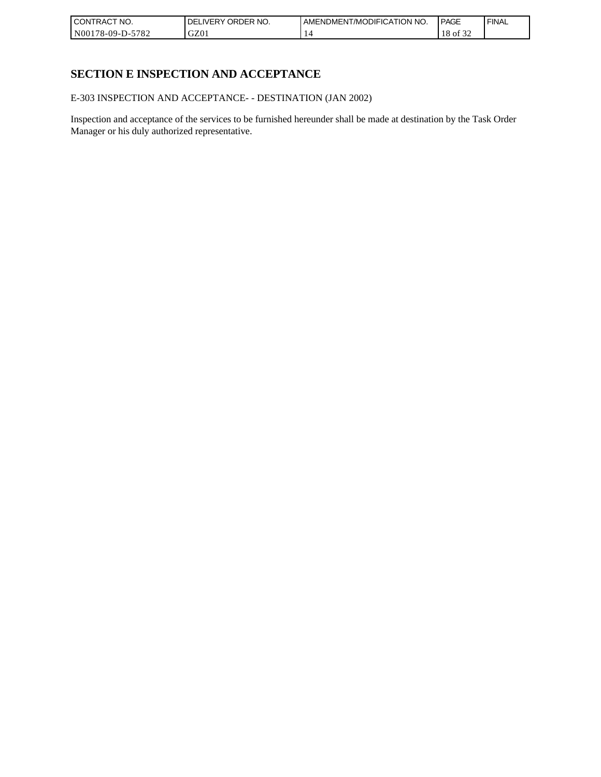| I CONTRACT NO.   | ORDER NO.<br><b>DELIVERY</b> | AMENDMENT/MODIFICATION NO. | PAGE                | ' FINAL |
|------------------|------------------------------|----------------------------|---------------------|---------|
| N00178-09-D-5782 | GZ0 <sub>1</sub>             |                            | $\sim$ $\sim$<br>ΟĪ |         |

# **SECTION E INSPECTION AND ACCEPTANCE**

E-303 INSPECTION AND ACCEPTANCE- - DESTINATION (JAN 2002)

Inspection and acceptance of the services to be furnished hereunder shall be made at destination by the Task Order Manager or his duly authorized representative.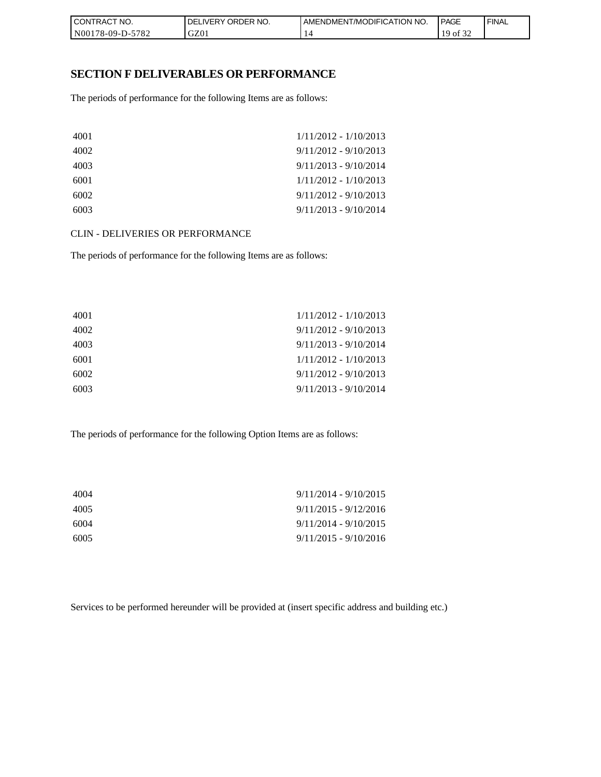| I CONTRACT NO.   | NO.<br>' ORDER<br><b>DELIVERY</b> | AMENDMENT/MODIFICATION<br>I NO. | <b>PAGE</b>     | <b>FINAL</b> |
|------------------|-----------------------------------|---------------------------------|-----------------|--------------|
| N00178-09-D-5782 | GZ01                              |                                 | 10<br>ΟĪ<br>ے ر |              |

### **SECTION F DELIVERABLES OR PERFORMANCE**

The periods of performance for the following Items are as follows:

| 4001 | $1/11/2012 - 1/10/2013$ |
|------|-------------------------|
| 4002 | $9/11/2012 - 9/10/2013$ |
| 4003 | $9/11/2013 - 9/10/2014$ |
| 6001 | $1/11/2012 - 1/10/2013$ |
| 6002 | $9/11/2012 - 9/10/2013$ |
| 6003 | $9/11/2013 - 9/10/2014$ |

CLIN - DELIVERIES OR PERFORMANCE

The periods of performance for the following Items are as follows:

| 4001 | $1/11/2012 - 1/10/2013$ |
|------|-------------------------|
| 4002 | $9/11/2012 - 9/10/2013$ |
| 4003 | $9/11/2013 - 9/10/2014$ |
| 6001 | $1/11/2012 - 1/10/2013$ |
| 6002 | $9/11/2012 - 9/10/2013$ |
| 6003 | $9/11/2013 - 9/10/2014$ |

The periods of performance for the following Option Items are as follows:

| 4004 | $9/11/2014 - 9/10/2015$ |
|------|-------------------------|
| 4005 | $9/11/2015 - 9/12/2016$ |
| 6004 | $9/11/2014 - 9/10/2015$ |
| 6005 | $9/11/2015 - 9/10/2016$ |

Services to be performed hereunder will be provided at (insert specific address and building etc.)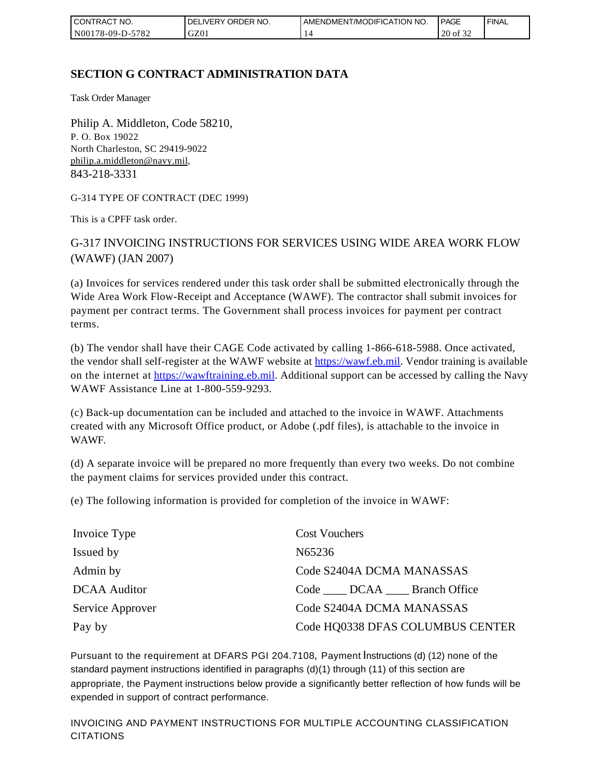| I CONTRACT NO.         | ORDER NO.<br><b>DELIVERY</b> | AMENDMENT/MODIFICATION NO. | <b>PAGE</b>                      | ' FINAL |
|------------------------|------------------------------|----------------------------|----------------------------------|---------|
| N00178-09-D-5<br>-5782 | GZ01                         |                            | $\sim$ $\sim$ $\sim$<br>20 of 32 |         |

## **SECTION G CONTRACT ADMINISTRATION DATA**

Task Order Manager

Philip A. Middleton, Code 58210, P. O. Box 19022 North Charleston, SC 29419-9022 [philip.a.middleton@navy.mil](mailto:cphilip.a.middleton@navy.mil), 843-218-3331

G-314 TYPE OF CONTRACT (DEC 1999)

This is a CPFF task order.

G-317 INVOICING INSTRUCTIONS FOR SERVICES USING WIDE AREA WORK FLOW (WAWF) (JAN 2007)

(a) Invoices for services rendered under this task order shall be submitted electronically through the Wide Area Work Flow-Receipt and Acceptance (WAWF). The contractor shall submit invoices for payment per contract terms. The Government shall process invoices for payment per contract terms.

(b) The vendor shall have their CAGE Code activated by calling 1-866-618-5988. Once activated, the vendor shall self-register at the WAWF website at [https://wawf.eb.mil.](https://wawf.eb.mil/) Vendor training is available on the internet at [https://wawftraining.eb.mil.](https://wawftraining.eb.mil/) Additional support can be accessed by calling the Navy WAWF Assistance Line at 1-800-559-9293.

(c) Back-up documentation can be included and attached to the invoice in WAWF. Attachments created with any Microsoft Office product, or Adobe (.pdf files), is attachable to the invoice in WAWF.

(d) A separate invoice will be prepared no more frequently than every two weeks. Do not combine the payment claims for services provided under this contract.

(e) The following information is provided for completion of the invoice in WAWF:

| Invoice Type        | <b>Cost Vouchers</b>                  |
|---------------------|---------------------------------------|
| Issued by           | N65236                                |
| Admin by            | Code S2404A DCMA MANASSAS             |
| <b>DCAA</b> Auditor | Code ______ DCAA ______ Branch Office |
| Service Approver    | Code S2404A DCMA MANASSAS             |
| Pay by              | Code HQ0338 DFAS COLUMBUS CENTER      |

Pursuant to the requirement at DFARS PGI 204.7108, Payment Instructions (d) (12) none of the standard payment instructions identified in paragraphs (d)(1) through (11) of this section are appropriate, the Payment instructions below provide a significantly better reflection of how funds will be expended in support of contract performance.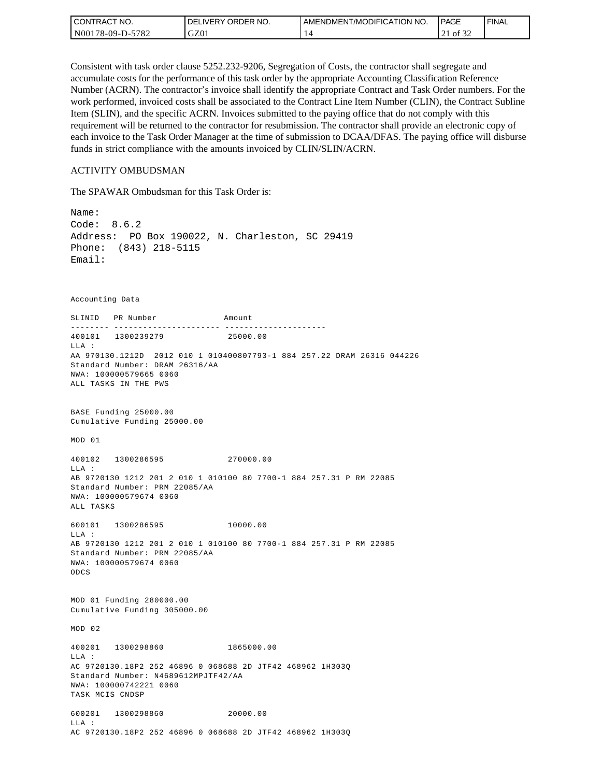| <b>CONTRACT NO.</b> | ' ORDER NO.<br><b>DELIVERY</b> | AMENDMENT/MODIFICATION NO. | PAGE                                  | ' FINAL |
|---------------------|--------------------------------|----------------------------|---------------------------------------|---------|
| N00178-09-D-5782    | GZ01                           |                            | $c \wedge c$<br>ΟĪ<br>$\sim$ 1<br>ے ر |         |

Consistent with task order clause 5252.232-9206, Segregation of Costs, the contractor shall segregate and accumulate costs for the performance of this task order by the appropriate Accounting Classification Reference Number (ACRN). The contractor's invoice shall identify the appropriate Contract and Task Order numbers. For the work performed, invoiced costs shall be associated to the Contract Line Item Number (CLIN), the Contract Subline Item (SLIN), and the specific ACRN. Invoices submitted to the paying office that do not comply with this requirement will be returned to the contractor for resubmission. The contractor shall provide an electronic copy of each invoice to the Task Order Manager at the time of submission to DCAA/DFAS. The paying office will disburse funds in strict compliance with the amounts invoiced by CLIN/SLIN/ACRN.

#### ACTIVITY OMBUDSMAN

The SPAWAR Ombudsman for this Task Order is:

Name: Code: 8.6.2 Address: PO Box 190022, N. Charleston, SC 29419 Phone: (843) 218-5115 Email: Accounting Data SLINID PR Number Amount -------- ---------------------- ---------------------400101 1300239279 25000.00 LLA : AA 970130.1212D 2012 010 1 010400807793-1 884 257.22 DRAM 26316 044226 Standard Number: DRAM 26316/AA NWA: 100000579665 0060 ALL TASKS IN THE PWS BASE Funding 25000.00 Cumulative Funding 25000.00 MOD 01 400102 1300286595 270000.00 LLA : AB 9720130 1212 201 2 010 1 010100 80 7700-1 884 257.31 P RM 22085 Standard Number: PRM 22085/AA NWA: 100000579674 0060 ALL TASKS 600101 1300286595 10000.00 LLA : AB 9720130 1212 201 2 010 1 010100 80 7700-1 884 257.31 P RM 22085 Standard Number: PRM 22085/AA NWA: 100000579674 0060 ODCS MOD 01 Funding 280000.00 Cumulative Funding 305000.00 MOD 02 400201 1300298860 1865000.00  $T.T.A$  : AC 9720130.18P2 252 46896 0 068688 2D JTF42 468962 1H303Q Standard Number: N4689612MPJTF42/AA NWA: 100000742221 0060 TASK MCIS CNDSP 600201 1300298860 20000.00 LLA : AC 9720130.18P2 252 46896 0 068688 2D JTF42 468962 1H303Q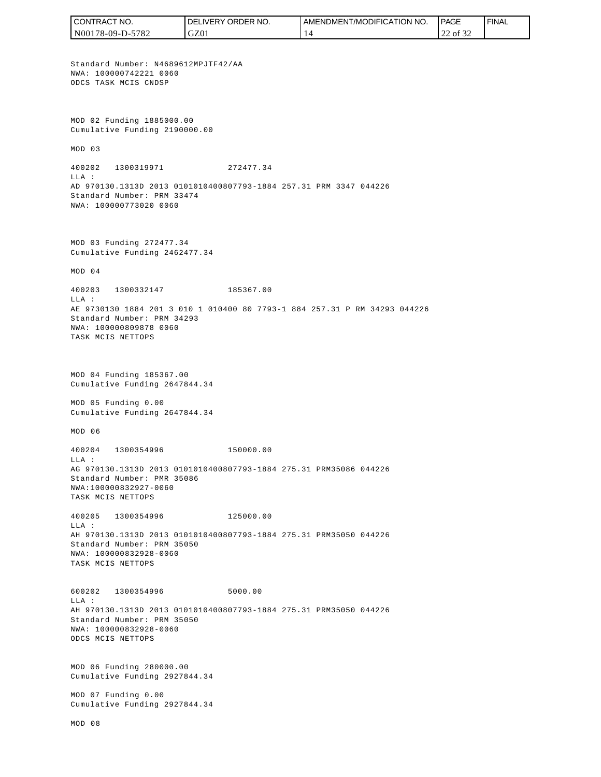CONTRACT NO. DELIVERY ORDER NO. AMENDMENT/MODIFICATION NO. **PAGE**  FINALCONTRACT NO.<br>
NO0178-09-D-5<br>
Standard Numb<br>
Non 178-09-D-5<br>
Standard Numb<br>
NNA: 10000074<br>
ODCS TASK MCI<br>
Cumulative Fu<br>
MOD 03<br>
400202 1300<br>
400202 1300<br>
LLA:<br>
AD 970130.131<br>
Standard Numb<br>
NNA: 10000077<br>
MOD 03 Fundin<br>
Cu N00178-09-D-5782 GZ01 14 22 of 32 Standard Number: N4689612MPJTF42/AA NWA: 100000742221 0060 ODCS TASK MCIS CNDSP MOD 02 Funding 1885000.00 Cumulative Funding 2190000.00 MOD 03 400202 1300319971 272477.34  $T.T.A$  : AD 970130.1313D 2013 0101010400807793-1884 257.31 PRM 3347 044226 Standard Number: PRM 33474 NWA: 100000773020 0060 MOD 03 Funding 272477.34 Cumulative Funding 2462477.34 MOD 04 400203 1300332147 185367.00 LLA : AE 9730130 1884 201 3 010 1 010400 80 7793-1 884 257.31 P RM 34293 044226 Standard Number: PRM 34293 NWA: 100000809878 0060 TASK MCIS NETTOPS MOD 04 Funding 185367.00 Cumulative Funding 2647844.34 MOD 05 Funding 0.00 Cumulative Funding 2647844.34 MOD 06 400204 1300354996 150000.00  $T.T.A$  : AG 970130.1313D 2013 0101010400807793-1884 275.31 PRM35086 044226 Standard Number: PMR 35086 NWA:100000832927-0060 TASK MCIS NETTOPS 400205 1300354996 125000.00 LLA : AH 970130.1313D 2013 0101010400807793-1884 275.31 PRM35050 044226 Standard Number: PRM 35050 NWA: 100000832928-0060 TASK MCIS NETTOPS 600202 1300354996 5000.00 LLA : AH 970130.1313D 2013 0101010400807793-1884 275.31 PRM35050 044226 Standard Number: PRM 35050 NWA: 100000832928-0060 ODCS MCIS NETTOPS MOD 06 Funding 280000.00 Cumulative Funding 2927844.34 MOD 07 Funding 0.00 Cumulative Funding 2927844.34 MOD 08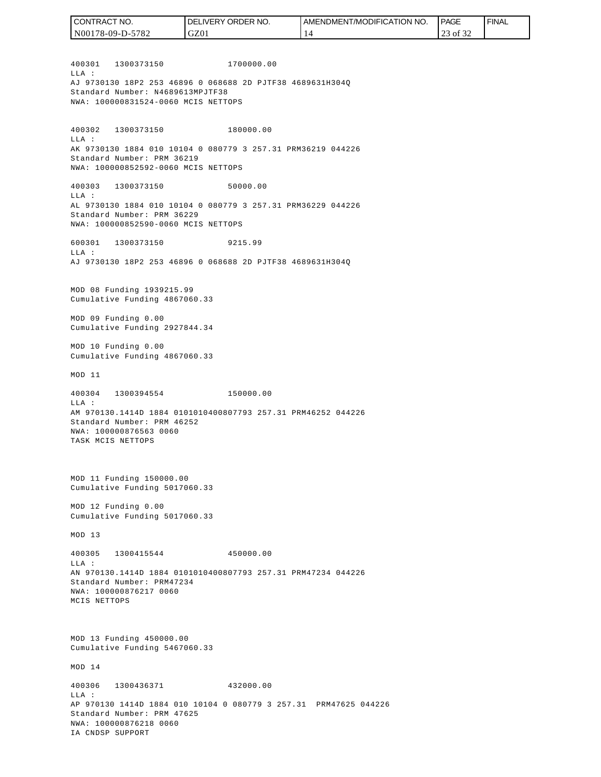400301 1300373150 1700000.00  $T.T.A$  : AJ 9730130 18P2 253 46896 0 068688 2D PJTF38 4689631H304Q Standard Number: N4689613MPJTF38 NWA: 100000831524-0060 MCIS NETTOPS 400302 1300373150 180000.00 LLA : AK 9730130 1884 010 10104 0 080779 3 257.31 PRM36219 044226 Standard Number: PRM 36219 NWA: 100000852592-0060 MCIS NETTOPS 400303 1300373150 50000.00 LLA : AL 9730130 1884 010 10104 0 080779 3 257.31 PRM36229 044226 Standard Number: PRM 36229 NWA: 100000852590-0060 MCIS NETTOPS 600301 1300373150 9215.99  $T.T.A$  : AJ 9730130 18P2 253 46896 0 068688 2D PJTF38 4689631H304Q MOD 08 Funding 1939215.99 Cumulative Funding 4867060.33 MOD 09 Funding 0.00 Cumulative Funding 2927844.34 MOD 10 Funding 0.00 Cumulative Funding 4867060.33 MOD 11 400304 1300394554 150000.00 LLA : AM 970130.1414D 1884 0101010400807793 257.31 PRM46252 044226 Standard Number: PRM 46252 NWA: 100000876563 0060 TASK MCIS NETTOPS MOD 11 Funding 150000.00 Cumulative Funding 5017060.33 MOD 12 Funding 0.00 Cumulative Funding 5017060.33 MOD 13 400305 1300415544 450000.00  $T.T.A$  : AN 970130.1414D 1884 0101010400807793 257.31 PRM47234 044226 Standard Number: PRM47234 NWA: 100000876217 0060 MCIS NETTOPS MOD 13 Funding 450000.00 Cumulative Funding 5467060.33 MOD 14 400306 1300436371 432000.00  $T.T.A$  : AP 970130 1414D 1884 010 10104 0 080779 3 257.31 PRM47625 044226 Standard Number: PRM 47625 NWA: 100000876218 0060 IA CNDSP SUPPORT N00178-09-D-5782 GZ01 14 23 of 32

CONTRACT NO.

DELIVERY ORDER NO.

AMENDMENT/MODIFICATION NO.

**PAGE** 

FINAL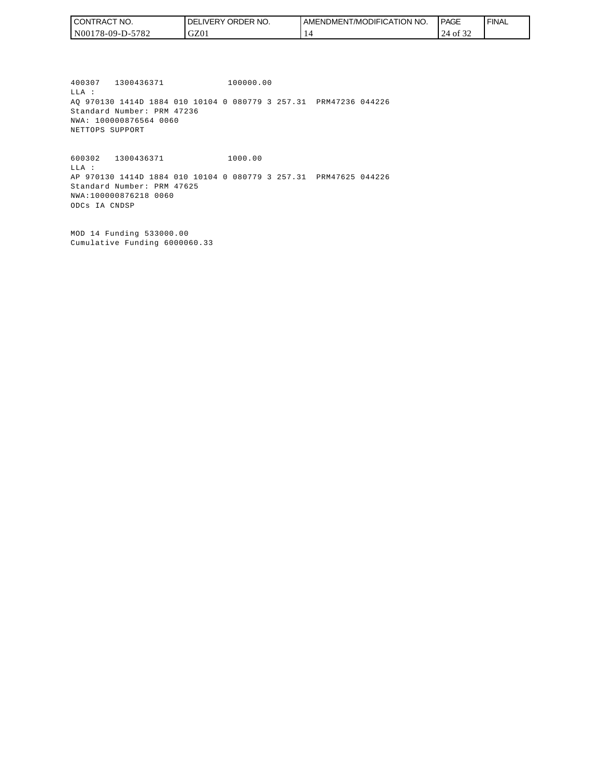| l CON <sup>-</sup><br>TRACT NO. | NO.<br>ORDER<br>.IVERY<br>DELI | AMENDMENT/MODIFICATION NO. | <b>PAGE</b>     | ' FINAL |
|---------------------------------|--------------------------------|----------------------------|-----------------|---------|
| 5782<br>N00178-09-D-5           | GZ01                           |                            | ΟĪ<br>∠⊣<br>ے ر |         |

400307 1300436371 100000.00 LLA : AQ 970130 1414D 1884 010 10104 0 080779 3 257.31 PRM47236 044226 Standard Number: PRM 47236 NWA: 100000876564 0060 NETTOPS SUPPORT

600302 1300436371 1000.00 LLA : AP 970130 1414D 1884 010 10104 0 080779 3 257.31 PRM47625 044226 Standard Number: PRM 47625 NWA:100000876218 0060 ODCs IA CNDSP

MOD 14 Funding 533000.00 Cumulative Funding 6000060.33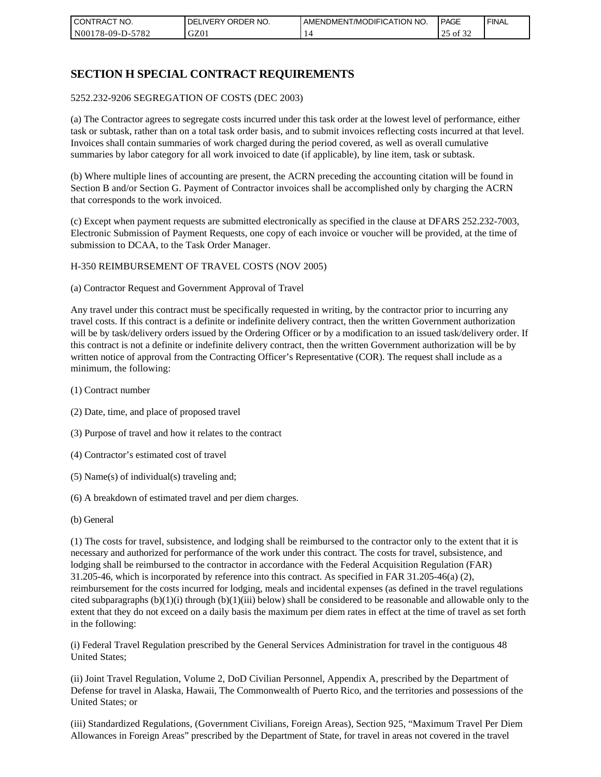| CONTRACT NO.          | ORDER NO.<br>DELI<br><b>IVERY</b> | AMENDMENT/MODIFICATION NO. | <b>PAGE</b>                            | ' FINAL |
|-----------------------|-----------------------------------|----------------------------|----------------------------------------|---------|
| 5782<br>N00178-09-D-3 | GZ01                              |                            | $\sim$ $\sim$ $\sim$<br>ΟĪ<br>ے ر<br>ت |         |

## **SECTION H SPECIAL CONTRACT REQUIREMENTS**

#### 5252.232-9206 SEGREGATION OF COSTS (DEC 2003)

(a) The Contractor agrees to segregate costs incurred under this task order at the lowest level of performance, either task or subtask, rather than on a total task order basis, and to submit invoices reflecting costs incurred at that level. Invoices shall contain summaries of work charged during the period covered, as well as overall cumulative summaries by labor category for all work invoiced to date (if applicable), by line item, task or subtask.

(b) Where multiple lines of accounting are present, the ACRN preceding the accounting citation will be found in Section B and/or Section G. Payment of Contractor invoices shall be accomplished only by charging the ACRN that corresponds to the work invoiced.

(c) Except when payment requests are submitted electronically as specified in the clause at DFARS 252.232-7003, Electronic Submission of Payment Requests, one copy of each invoice or voucher will be provided, at the time of submission to DCAA, to the Task Order Manager.

#### H-350 REIMBURSEMENT OF TRAVEL COSTS (NOV 2005)

(a) Contractor Request and Government Approval of Travel

Any travel under this contract must be specifically requested in writing, by the contractor prior to incurring any travel costs. If this contract is a definite or indefinite delivery contract, then the written Government authorization will be by task/delivery orders issued by the Ordering Officer or by a modification to an issued task/delivery order. If this contract is not a definite or indefinite delivery contract, then the written Government authorization will be by written notice of approval from the Contracting Officer's Representative (COR). The request shall include as a minimum, the following:

- (1) Contract number
- (2) Date, time, and place of proposed travel
- (3) Purpose of travel and how it relates to the contract
- (4) Contractor's estimated cost of travel
- (5) Name(s) of individual(s) traveling and;
- (6) A breakdown of estimated travel and per diem charges.
- (b) General

(1) The costs for travel, subsistence, and lodging shall be reimbursed to the contractor only to the extent that it is necessary and authorized for performance of the work under this contract. The costs for travel, subsistence, and lodging shall be reimbursed to the contractor in accordance with the Federal Acquisition Regulation (FAR) 31.205-46, which is incorporated by reference into this contract. As specified in FAR 31.205-46(a) (2), reimbursement for the costs incurred for lodging, meals and incidental expenses (as defined in the travel regulations cited subparagraphs  $(b)(1)(i)$  through  $(b)(1)(iii)$  below) shall be considered to be reasonable and allowable only to the extent that they do not exceed on a daily basis the maximum per diem rates in effect at the time of travel as set forth in the following:

(i) Federal Travel Regulation prescribed by the General Services Administration for travel in the contiguous 48 United States;

(ii) Joint Travel Regulation, Volume 2, DoD Civilian Personnel, Appendix A, prescribed by the Department of Defense for travel in Alaska, Hawaii, The Commonwealth of Puerto Rico, and the territories and possessions of the United States; or

(iii) Standardized Regulations, (Government Civilians, Foreign Areas), Section 925, "Maximum Travel Per Diem Allowances in Foreign Areas" prescribed by the Department of State, for travel in areas not covered in the travel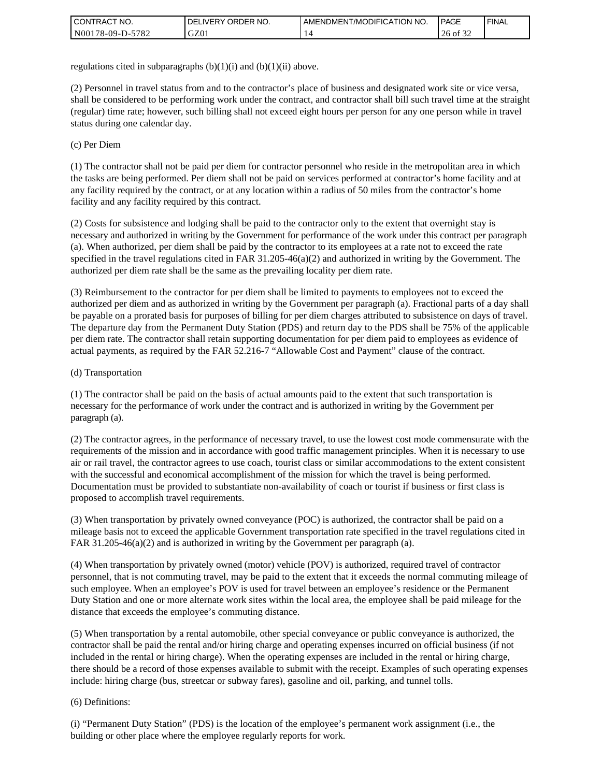| I CONTRACT NO.   | ORDER NO.<br><b>DELIVERY</b> | AMENDMENT/MODIFICATION NO. | <b>PAGE</b> | <b>FINAL</b> |
|------------------|------------------------------|----------------------------|-------------|--------------|
| N00178-09-D-5782 | GZ01                         |                            | 26<br>of 32 |              |

regulations cited in subparagraphs  $(b)(1)(i)$  and  $(b)(1)(ii)$  above.

(2) Personnel in travel status from and to the contractor's place of business and designated work site or vice versa, shall be considered to be performing work under the contract, and contractor shall bill such travel time at the straight (regular) time rate; however, such billing shall not exceed eight hours per person for any one person while in travel status during one calendar day.

(c) Per Diem

(1) The contractor shall not be paid per diem for contractor personnel who reside in the metropolitan area in which the tasks are being performed. Per diem shall not be paid on services performed at contractor's home facility and at any facility required by the contract, or at any location within a radius of 50 miles from the contractor's home facility and any facility required by this contract.

(2) Costs for subsistence and lodging shall be paid to the contractor only to the extent that overnight stay is necessary and authorized in writing by the Government for performance of the work under this contract per paragraph (a). When authorized, per diem shall be paid by the contractor to its employees at a rate not to exceed the rate specified in the travel regulations cited in FAR 31.205-46(a)(2) and authorized in writing by the Government. The authorized per diem rate shall be the same as the prevailing locality per diem rate.

(3) Reimbursement to the contractor for per diem shall be limited to payments to employees not to exceed the authorized per diem and as authorized in writing by the Government per paragraph (a). Fractional parts of a day shall be payable on a prorated basis for purposes of billing for per diem charges attributed to subsistence on days of travel. The departure day from the Permanent Duty Station (PDS) and return day to the PDS shall be 75% of the applicable per diem rate. The contractor shall retain supporting documentation for per diem paid to employees as evidence of actual payments, as required by the FAR 52.216-7 "Allowable Cost and Payment" clause of the contract.

#### (d) Transportation

(1) The contractor shall be paid on the basis of actual amounts paid to the extent that such transportation is necessary for the performance of work under the contract and is authorized in writing by the Government per paragraph (a).

(2) The contractor agrees, in the performance of necessary travel, to use the lowest cost mode commensurate with the requirements of the mission and in accordance with good traffic management principles. When it is necessary to use air or rail travel, the contractor agrees to use coach, tourist class or similar accommodations to the extent consistent with the successful and economical accomplishment of the mission for which the travel is being performed. Documentation must be provided to substantiate non-availability of coach or tourist if business or first class is proposed to accomplish travel requirements.

(3) When transportation by privately owned conveyance (POC) is authorized, the contractor shall be paid on a mileage basis not to exceed the applicable Government transportation rate specified in the travel regulations cited in FAR 31.205-46(a)(2) and is authorized in writing by the Government per paragraph (a).

(4) When transportation by privately owned (motor) vehicle (POV) is authorized, required travel of contractor personnel, that is not commuting travel, may be paid to the extent that it exceeds the normal commuting mileage of such employee. When an employee's POV is used for travel between an employee's residence or the Permanent Duty Station and one or more alternate work sites within the local area, the employee shall be paid mileage for the distance that exceeds the employee's commuting distance.

(5) When transportation by a rental automobile, other special conveyance or public conveyance is authorized, the contractor shall be paid the rental and/or hiring charge and operating expenses incurred on official business (if not included in the rental or hiring charge). When the operating expenses are included in the rental or hiring charge, there should be a record of those expenses available to submit with the receipt. Examples of such operating expenses include: hiring charge (bus, streetcar or subway fares), gasoline and oil, parking, and tunnel tolls.

#### (6) Definitions:

(i) "Permanent Duty Station" (PDS) is the location of the employee's permanent work assignment (i.e., the building or other place where the employee regularly reports for work.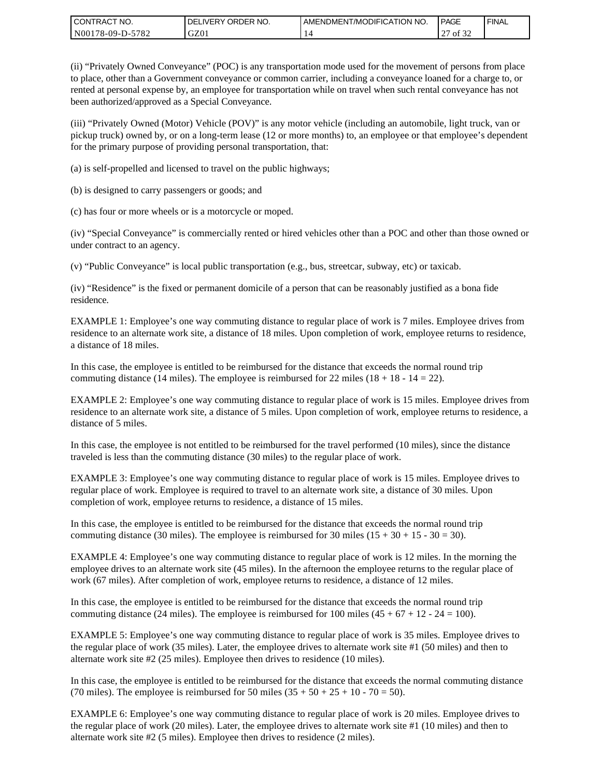| I CONTRACT NO.   | DELIVERY ORDER NO. | <b>LAMENDMENT/MODIFICATION NO.</b> | PAGE         | ' FINAL |
|------------------|--------------------|------------------------------------|--------------|---------|
| N00178-09-D-5782 | GZ01               |                                    | of 32<br>ا ت |         |

(ii) "Privately Owned Conveyance" (POC) is any transportation mode used for the movement of persons from place to place, other than a Government conveyance or common carrier, including a conveyance loaned for a charge to, or rented at personal expense by, an employee for transportation while on travel when such rental conveyance has not been authorized/approved as a Special Conveyance.

(iii) "Privately Owned (Motor) Vehicle (POV)" is any motor vehicle (including an automobile, light truck, van or pickup truck) owned by, or on a long-term lease (12 or more months) to, an employee or that employee's dependent for the primary purpose of providing personal transportation, that:

(a) is self-propelled and licensed to travel on the public highways;

(b) is designed to carry passengers or goods; and

(c) has four or more wheels or is a motorcycle or moped.

(iv) "Special Conveyance" is commercially rented or hired vehicles other than a POC and other than those owned or under contract to an agency.

(v) "Public Conveyance" is local public transportation (e.g., bus, streetcar, subway, etc) or taxicab.

(iv) "Residence" is the fixed or permanent domicile of a person that can be reasonably justified as a bona fide residence.

EXAMPLE 1: Employee's one way commuting distance to regular place of work is 7 miles. Employee drives from residence to an alternate work site, a distance of 18 miles. Upon completion of work, employee returns to residence, a distance of 18 miles.

In this case, the employee is entitled to be reimbursed for the distance that exceeds the normal round trip commuting distance (14 miles). The employee is reimbursed for 22 miles (18 + 18 - 14 = 22).

EXAMPLE 2: Employee's one way commuting distance to regular place of work is 15 miles. Employee drives from residence to an alternate work site, a distance of 5 miles. Upon completion of work, employee returns to residence, a distance of 5 miles.

In this case, the employee is not entitled to be reimbursed for the travel performed (10 miles), since the distance traveled is less than the commuting distance (30 miles) to the regular place of work.

EXAMPLE 3: Employee's one way commuting distance to regular place of work is 15 miles. Employee drives to regular place of work. Employee is required to travel to an alternate work site, a distance of 30 miles. Upon completion of work, employee returns to residence, a distance of 15 miles.

In this case, the employee is entitled to be reimbursed for the distance that exceeds the normal round trip commuting distance (30 miles). The employee is reimbursed for 30 miles  $(15 + 30 + 15 - 30 = 30)$ .

EXAMPLE 4: Employee's one way commuting distance to regular place of work is 12 miles. In the morning the employee drives to an alternate work site (45 miles). In the afternoon the employee returns to the regular place of work (67 miles). After completion of work, employee returns to residence, a distance of 12 miles.

In this case, the employee is entitled to be reimbursed for the distance that exceeds the normal round trip commuting distance (24 miles). The employee is reimbursed for 100 miles  $(45 + 67 + 12 - 24 = 100)$ .

EXAMPLE 5: Employee's one way commuting distance to regular place of work is 35 miles. Employee drives to the regular place of work (35 miles). Later, the employee drives to alternate work site #1 (50 miles) and then to alternate work site #2 (25 miles). Employee then drives to residence (10 miles).

In this case, the employee is entitled to be reimbursed for the distance that exceeds the normal commuting distance (70 miles). The employee is reimbursed for 50 miles  $(35 + 50 + 25 + 10 - 70 = 50)$ .

EXAMPLE 6: Employee's one way commuting distance to regular place of work is 20 miles. Employee drives to the regular place of work (20 miles). Later, the employee drives to alternate work site #1 (10 miles) and then to alternate work site #2 (5 miles). Employee then drives to residence (2 miles).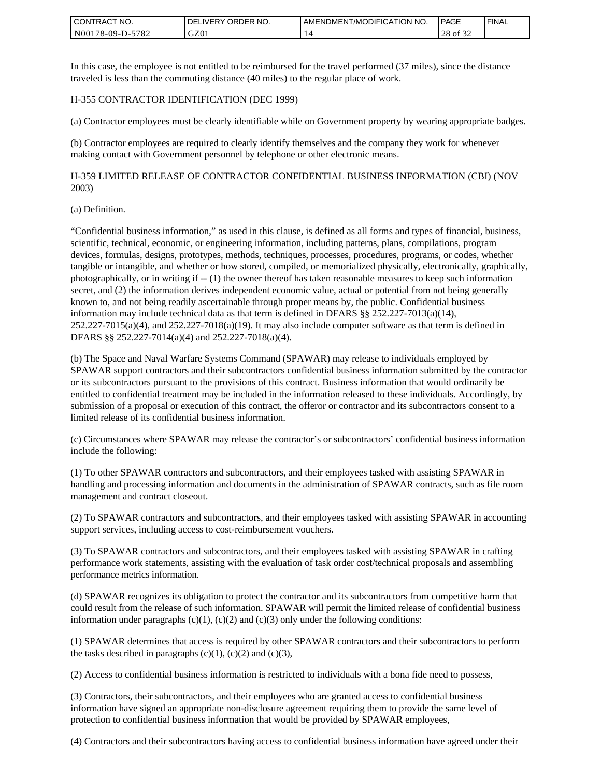| <b>CONTRACT NO.</b> | ' ORDER NO.<br><b>DELIVERY</b> | I AMENDMENT/MODIFICATION NO. | PAGE        | ' FINAL |
|---------------------|--------------------------------|------------------------------|-------------|---------|
| N00178-09-D-5782    | GZ01                           |                              | 28<br>of 32 |         |

In this case, the employee is not entitled to be reimbursed for the travel performed (37 miles), since the distance traveled is less than the commuting distance (40 miles) to the regular place of work.

#### H-355 CONTRACTOR IDENTIFICATION (DEC 1999)

(a) Contractor employees must be clearly identifiable while on Government property by wearing appropriate badges.

(b) Contractor employees are required to clearly identify themselves and the company they work for whenever making contact with Government personnel by telephone or other electronic means.

H-359 LIMITED RELEASE OF CONTRACTOR CONFIDENTIAL BUSINESS INFORMATION (CBI) (NOV 2003)

#### (a) Definition.

"Confidential business information," as used in this clause, is defined as all forms and types of financial, business, scientific, technical, economic, or engineering information, including patterns, plans, compilations, program devices, formulas, designs, prototypes, methods, techniques, processes, procedures, programs, or codes, whether tangible or intangible, and whether or how stored, compiled, or memorialized physically, electronically, graphically, photographically, or in writing if -- (1) the owner thereof has taken reasonable measures to keep such information secret, and (2) the information derives independent economic value, actual or potential from not being generally known to, and not being readily ascertainable through proper means by, the public. Confidential business information may include technical data as that term is defined in DFARS §§ 252.227-7013(a)(14),  $252.227-7015(a)(4)$ , and  $252.227-7018(a)(19)$ . It may also include computer software as that term is defined in DFARS §§ 252.227-7014(a)(4) and 252.227-7018(a)(4).

(b) The Space and Naval Warfare Systems Command (SPAWAR) may release to individuals employed by SPAWAR support contractors and their subcontractors confidential business information submitted by the contractor or its subcontractors pursuant to the provisions of this contract. Business information that would ordinarily be entitled to confidential treatment may be included in the information released to these individuals. Accordingly, by submission of a proposal or execution of this contract, the offeror or contractor and its subcontractors consent to a limited release of its confidential business information.

(c) Circumstances where SPAWAR may release the contractor's or subcontractors' confidential business information include the following:

(1) To other SPAWAR contractors and subcontractors, and their employees tasked with assisting SPAWAR in handling and processing information and documents in the administration of SPAWAR contracts, such as file room management and contract closeout.

(2) To SPAWAR contractors and subcontractors, and their employees tasked with assisting SPAWAR in accounting support services, including access to cost-reimbursement vouchers.

(3) To SPAWAR contractors and subcontractors, and their employees tasked with assisting SPAWAR in crafting performance work statements, assisting with the evaluation of task order cost/technical proposals and assembling performance metrics information.

(d) SPAWAR recognizes its obligation to protect the contractor and its subcontractors from competitive harm that could result from the release of such information. SPAWAR will permit the limited release of confidential business information under paragraphs  $(c)(1)$ ,  $(c)(2)$  and  $(c)(3)$  only under the following conditions:

(1) SPAWAR determines that access is required by other SPAWAR contractors and their subcontractors to perform the tasks described in paragraphs  $(c)(1)$ ,  $(c)(2)$  and  $(c)(3)$ ,

(2) Access to confidential business information is restricted to individuals with a bona fide need to possess,

(3) Contractors, their subcontractors, and their employees who are granted access to confidential business information have signed an appropriate non-disclosure agreement requiring them to provide the same level of protection to confidential business information that would be provided by SPAWAR employees,

(4) Contractors and their subcontractors having access to confidential business information have agreed under their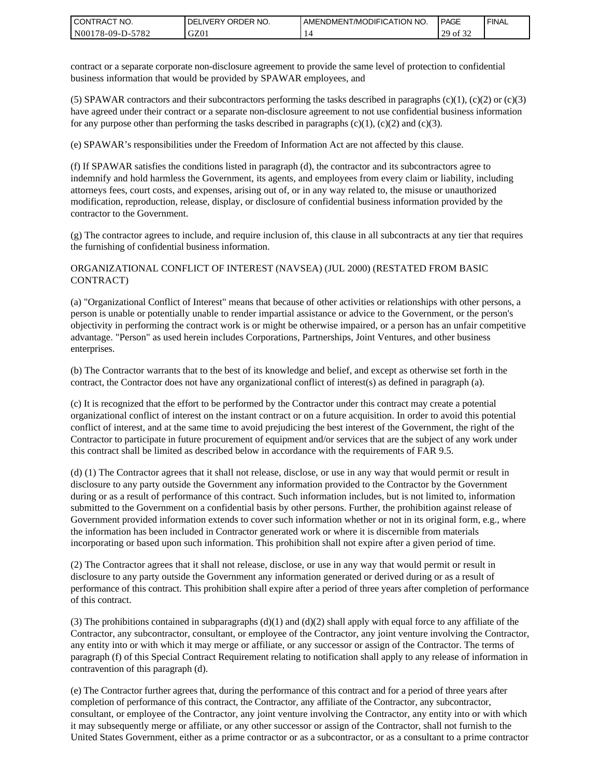| <b>CONTRACT NO.</b> | ' ORDER NO.<br><b>DELIVERY</b> | AMENDMENT/MODIFICATION NO. | <b>PAGE</b>                    | ' FINAL |
|---------------------|--------------------------------|----------------------------|--------------------------------|---------|
| N00178-09-D-5782    | GZ01                           |                            | 0.22<br>20<br>ΟĪ<br>ر _<br>ے ر |         |

contract or a separate corporate non-disclosure agreement to provide the same level of protection to confidential business information that would be provided by SPAWAR employees, and

(5) SPAWAR contractors and their subcontractors performing the tasks described in paragraphs  $(c)(1)$ ,  $(c)(2)$  or  $(c)(3)$ have agreed under their contract or a separate non-disclosure agreement to not use confidential business information for any purpose other than performing the tasks described in paragraphs  $(c)(1)$ ,  $(c)(2)$  and  $(c)(3)$ .

(e) SPAWAR's responsibilities under the Freedom of Information Act are not affected by this clause.

(f) If SPAWAR satisfies the conditions listed in paragraph (d), the contractor and its subcontractors agree to indemnify and hold harmless the Government, its agents, and employees from every claim or liability, including attorneys fees, court costs, and expenses, arising out of, or in any way related to, the misuse or unauthorized modification, reproduction, release, display, or disclosure of confidential business information provided by the contractor to the Government.

(g) The contractor agrees to include, and require inclusion of, this clause in all subcontracts at any tier that requires the furnishing of confidential business information.

#### ORGANIZATIONAL CONFLICT OF INTEREST (NAVSEA) (JUL 2000) (RESTATED FROM BASIC CONTRACT)

(a) "Organizational Conflict of Interest" means that because of other activities or relationships with other persons, a person is unable or potentially unable to render impartial assistance or advice to the Government, or the person's objectivity in performing the contract work is or might be otherwise impaired, or a person has an unfair competitive advantage. "Person" as used herein includes Corporations, Partnerships, Joint Ventures, and other business enterprises.

(b) The Contractor warrants that to the best of its knowledge and belief, and except as otherwise set forth in the contract, the Contractor does not have any organizational conflict of interest(s) as defined in paragraph (a).

(c) It is recognized that the effort to be performed by the Contractor under this contract may create a potential organizational conflict of interest on the instant contract or on a future acquisition. In order to avoid this potential conflict of interest, and at the same time to avoid prejudicing the best interest of the Government, the right of the Contractor to participate in future procurement of equipment and/or services that are the subject of any work under this contract shall be limited as described below in accordance with the requirements of FAR 9.5.

(d) (1) The Contractor agrees that it shall not release, disclose, or use in any way that would permit or result in disclosure to any party outside the Government any information provided to the Contractor by the Government during or as a result of performance of this contract. Such information includes, but is not limited to, information submitted to the Government on a confidential basis by other persons. Further, the prohibition against release of Government provided information extends to cover such information whether or not in its original form, e.g., where the information has been included in Contractor generated work or where it is discernible from materials incorporating or based upon such information. This prohibition shall not expire after a given period of time.

(2) The Contractor agrees that it shall not release, disclose, or use in any way that would permit or result in disclosure to any party outside the Government any information generated or derived during or as a result of performance of this contract. This prohibition shall expire after a period of three years after completion of performance of this contract.

(3) The prohibitions contained in subparagraphs  $(d)(1)$  and  $(d)(2)$  shall apply with equal force to any affiliate of the Contractor, any subcontractor, consultant, or employee of the Contractor, any joint venture involving the Contractor, any entity into or with which it may merge or affiliate, or any successor or assign of the Contractor. The terms of paragraph (f) of this Special Contract Requirement relating to notification shall apply to any release of information in contravention of this paragraph (d).

(e) The Contractor further agrees that, during the performance of this contract and for a period of three years after completion of performance of this contract, the Contractor, any affiliate of the Contractor, any subcontractor, consultant, or employee of the Contractor, any joint venture involving the Contractor, any entity into or with which it may subsequently merge or affiliate, or any other successor or assign of the Contractor, shall not furnish to the United States Government, either as a prime contractor or as a subcontractor, or as a consultant to a prime contractor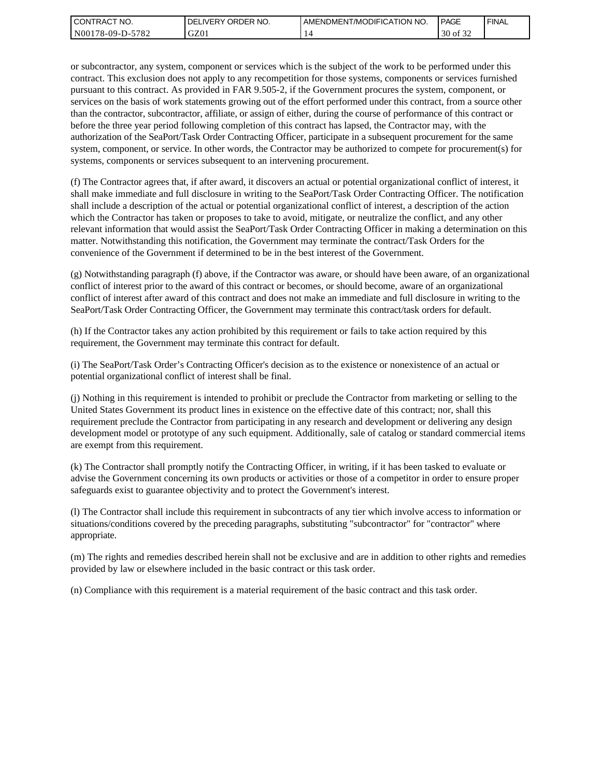| l CON <sup>-</sup><br>'TRACT NO. | NO.<br>ORDER<br>.IVERY<br>DELI | AMENDMENT/MODIFICATION NO. | <b>PAGE</b>                         | ' FINAL |
|----------------------------------|--------------------------------|----------------------------|-------------------------------------|---------|
| N00178-09-D-5<br>5782            | GZ01                           |                            | 0.22<br>$\Omega$<br>ΟĪ<br>3U<br>ے ر |         |

or subcontractor, any system, component or services which is the subject of the work to be performed under this contract. This exclusion does not apply to any recompetition for those systems, components or services furnished pursuant to this contract. As provided in FAR 9.505-2, if the Government procures the system, component, or services on the basis of work statements growing out of the effort performed under this contract, from a source other than the contractor, subcontractor, affiliate, or assign of either, during the course of performance of this contract or before the three year period following completion of this contract has lapsed, the Contractor may, with the authorization of the SeaPort/Task Order Contracting Officer, participate in a subsequent procurement for the same system, component, or service. In other words, the Contractor may be authorized to compete for procurement(s) for systems, components or services subsequent to an intervening procurement.

(f) The Contractor agrees that, if after award, it discovers an actual or potential organizational conflict of interest, it shall make immediate and full disclosure in writing to the SeaPort/Task Order Contracting Officer. The notification shall include a description of the actual or potential organizational conflict of interest, a description of the action which the Contractor has taken or proposes to take to avoid, mitigate, or neutralize the conflict, and any other relevant information that would assist the SeaPort/Task Order Contracting Officer in making a determination on this matter. Notwithstanding this notification, the Government may terminate the contract/Task Orders for the convenience of the Government if determined to be in the best interest of the Government.

(g) Notwithstanding paragraph (f) above, if the Contractor was aware, or should have been aware, of an organizational conflict of interest prior to the award of this contract or becomes, or should become, aware of an organizational conflict of interest after award of this contract and does not make an immediate and full disclosure in writing to the SeaPort/Task Order Contracting Officer, the Government may terminate this contract/task orders for default.

(h) If the Contractor takes any action prohibited by this requirement or fails to take action required by this requirement, the Government may terminate this contract for default.

(i) The SeaPort/Task Order's Contracting Officer's decision as to the existence or nonexistence of an actual or potential organizational conflict of interest shall be final.

(j) Nothing in this requirement is intended to prohibit or preclude the Contractor from marketing or selling to the United States Government its product lines in existence on the effective date of this contract; nor, shall this requirement preclude the Contractor from participating in any research and development or delivering any design development model or prototype of any such equipment. Additionally, sale of catalog or standard commercial items are exempt from this requirement.

(k) The Contractor shall promptly notify the Contracting Officer, in writing, if it has been tasked to evaluate or advise the Government concerning its own products or activities or those of a competitor in order to ensure proper safeguards exist to guarantee objectivity and to protect the Government's interest.

(l) The Contractor shall include this requirement in subcontracts of any tier which involve access to information or situations/conditions covered by the preceding paragraphs, substituting "subcontractor" for "contractor" where appropriate.

(m) The rights and remedies described herein shall not be exclusive and are in addition to other rights and remedies provided by law or elsewhere included in the basic contract or this task order.

(n) Compliance with this requirement is a material requirement of the basic contract and this task order.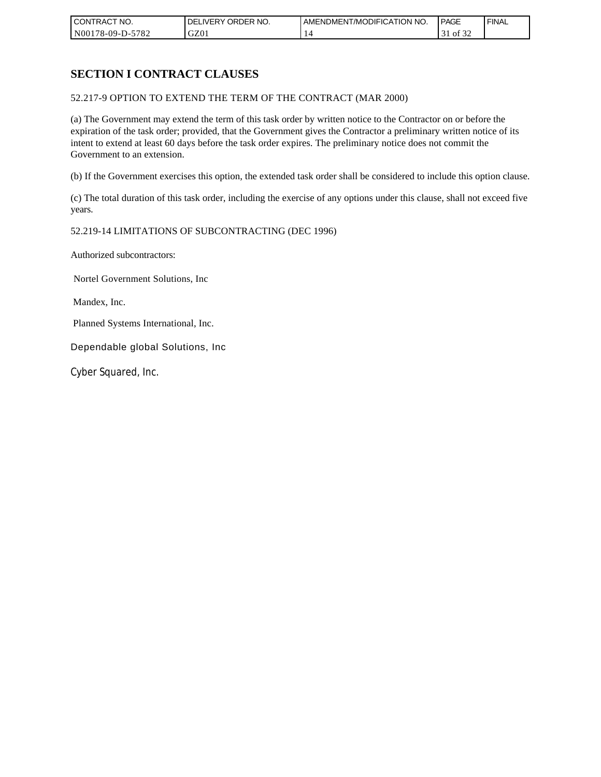| CONTRACT NO.     | ORDER <sup>'</sup><br>NO.<br><b>DELIVERY</b> | AMENDMENT/MODIFICATION NO. | PAGE            | <b>FINAL</b> |
|------------------|----------------------------------------------|----------------------------|-----------------|--------------|
| N00178-09-D-5782 | GZ01                                         |                            | 0Ī<br>51<br>ے ر |              |

## **SECTION I CONTRACT CLAUSES**

52.217-9 OPTION TO EXTEND THE TERM OF THE CONTRACT (MAR 2000)

(a) The Government may extend the term of this task order by written notice to the Contractor on or before the expiration of the task order; provided, that the Government gives the Contractor a preliminary written notice of its intent to extend at least 60 days before the task order expires. The preliminary notice does not commit the Government to an extension.

(b) If the Government exercises this option, the extended task order shall be considered to include this option clause.

(c) The total duration of this task order, including the exercise of any options under this clause, shall not exceed five years.

#### 52.219-14 LIMITATIONS OF SUBCONTRACTING (DEC 1996)

Authorized subcontractors:

Nortel Government Solutions, Inc

Mandex, Inc.

Planned Systems International, Inc.

Dependable global Solutions, Inc

Cyber Squared, Inc.